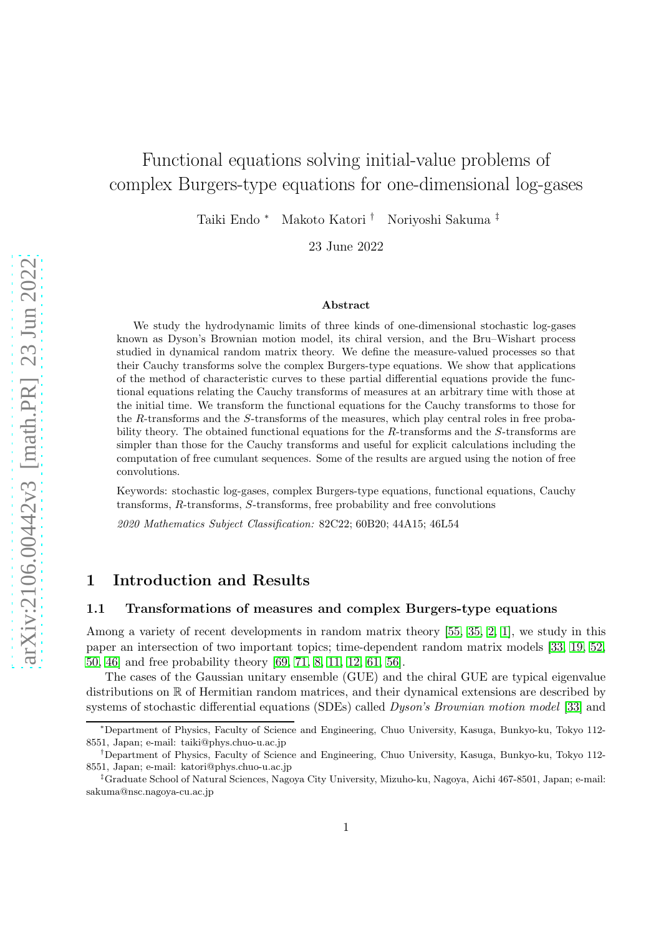# Functional equations solving initial-value problems of complex Burgers-type equations for one-dimensional log-gases

Taiki Endo <sup>∗</sup> Makoto Katori † Noriyoshi Sakuma ‡

23 June 2022

#### Abstract

We study the hydrodynamic limits of three kinds of one-dimensional stochastic log-gases known as Dyson's Brownian motion model, its chiral version, and the Bru–Wishart process studied in dynamical random matrix theory. We define the measure-valued processes so that their Cauchy transforms solve the complex Burgers-type equations. We show that applications of the method of characteristic curves to these partial differential equations provide the functional equations relating the Cauchy transforms of measures at an arbitrary time with those at the initial time. We transform the functional equations for the Cauchy transforms to those for the R-transforms and the S-transforms of the measures, which play central roles in free probability theory. The obtained functional equations for the R-transforms and the S-transforms are simpler than those for the Cauchy transforms and useful for explicit calculations including the computation of free cumulant sequences. Some of the results are argued using the notion of free convolutions.

Keywords: stochastic log-gases, complex Burgers-type equations, functional equations, Cauchy transforms, R-transforms, S-transforms, free probability and free convolutions

*2020 Mathematics Subject Classification:* 82C22; 60B20; 44A15; 46L54

# 1 Introduction and Results

#### 1.1 Transformations of measures and complex Burgers-type equations

Among a variety of recent developments in random matrix theory [\[55,](#page-23-0) [35,](#page-22-0) [2,](#page-20-0) [1\]](#page-20-1), we study in this paper an intersection of two important topics; time-dependent random matrix models [\[33,](#page-22-1) [19,](#page-21-0) [52,](#page-23-1) [50,](#page-23-2) [46\]](#page-22-2) and free probability theory [\[69,](#page-24-0) [71,](#page-24-1) [8,](#page-20-2) [11,](#page-20-3) [12,](#page-20-4) [61,](#page-23-3) [56\]](#page-23-4).

The cases of the Gaussian unitary ensemble (GUE) and the chiral GUE are typical eigenvalue distributions on R of Hermitian random matrices, and their dynamical extensions are described by systems of stochastic differential equations (SDEs) called *Dyson's Brownian motion model* [\[33\]](#page-22-1) and

<sup>∗</sup>Department of Physics, Faculty of Science and Engineering, Chuo University, Kasuga, Bunkyo-ku, Tokyo 112- 8551, Japan; e-mail: taiki@phys.chuo-u.ac.jp

<sup>†</sup>Department of Physics, Faculty of Science and Engineering, Chuo University, Kasuga, Bunkyo-ku, Tokyo 112- 8551, Japan; e-mail: katori@phys.chuo-u.ac.jp

<sup>‡</sup>Graduate School of Natural Sciences, Nagoya City University, Mizuho-ku, Nagoya, Aichi 467-8501, Japan; e-mail: sakuma@nsc.nagoya-cu.ac.jp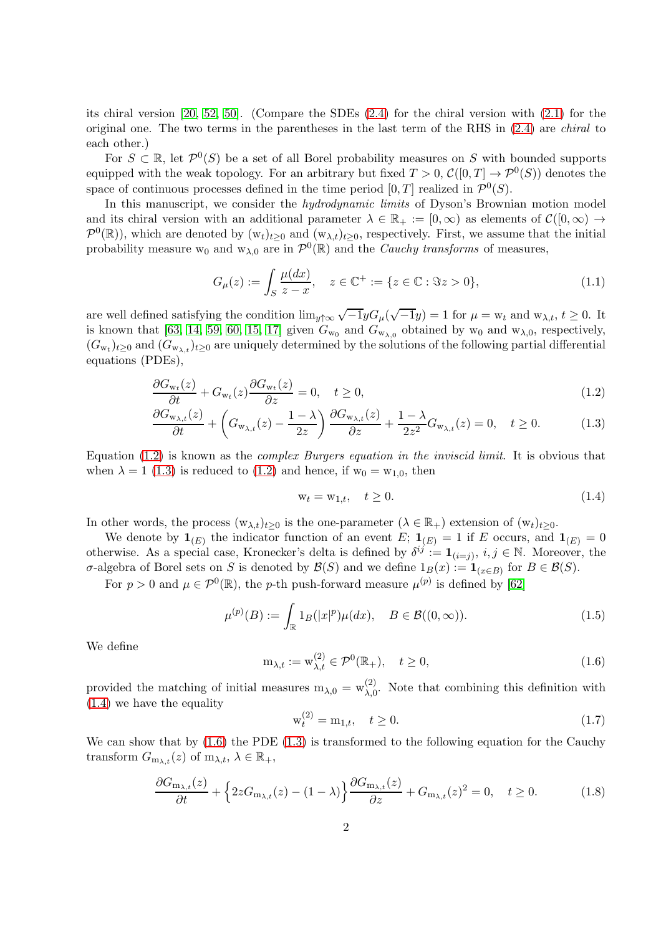its chiral version [\[20,](#page-21-1) [52,](#page-23-1) [50\]](#page-23-2). (Compare the SDEs [\(2.4\)](#page-11-0) for the chiral version with [\(2.1\)](#page-10-0) for the original one. The two terms in the parentheses in the last term of the RHS in [\(2.4\)](#page-11-0) are *chiral* to each other.)

For  $S \subset \mathbb{R}$ , let  $\mathcal{P}^0(S)$  be a set of all Borel probability measures on S with bounded supports equipped with the weak topology. For an arbitrary but fixed  $T > 0$ ,  $\mathcal{C}([0, T] \to \mathcal{P}^0(S))$  denotes the space of continuous processes defined in the time period  $[0, T]$  realized in  $\mathcal{P}^0(S)$ .

In this manuscript, we consider the *hydrodynamic limits* of Dyson's Brownian motion model and its chiral version with an additional parameter  $\lambda \in \mathbb{R}_+ := [0, \infty)$  as elements of  $\mathcal{C}([0, \infty) \to$  $\mathcal{P}^0(\mathbb{R})$ , which are denoted by  $(w_t)_{t\geq 0}$  and  $(w_{\lambda,t})_{t\geq 0}$ , respectively. First, we assume that the initial probability measure  $w_0$  and  $w_{\lambda,0}$  are in  $\mathcal{P}^0(\mathbb{R})$  and the *Cauchy transforms* of measures,

<span id="page-1-7"></span>
$$
G_{\mu}(z) := \int_{S} \frac{\mu(dx)}{z - x}, \quad z \in \mathbb{C}^{+} := \{ z \in \mathbb{C} : \Im z > 0 \},
$$
\n(1.1)

are well defined satisfying the condition  $\lim_{y \uparrow \infty} \sqrt{-1}yG_{\mu}(\sqrt{-1}y) = 1$  for  $\mu = w_t$  and  $w_{\lambda,t}$ ,  $t \ge 0$ . It is known that [\[63,](#page-23-5) [14,](#page-21-2) [59,](#page-23-6) [60,](#page-23-7) [15,](#page-21-3) [17\]](#page-21-4) given  $G_{w_0}$  and  $G_{w_{\lambda,0}}$  obtained by  $w_0$  and  $w_{\lambda,0}$ , respectively,  $(G_{w_t})_{t\geq0}$  and  $(G_{w_{\lambda,t}})_{t\geq0}$  are uniquely determined by the solutions of the following partial differential equations (PDEs),

$$
\frac{\partial G_{w_t}(z)}{\partial t} + G_{w_t}(z) \frac{\partial G_{w_t}(z)}{\partial z} = 0, \quad t \ge 0,
$$
\n(1.2)

$$
\frac{\partial G_{\mathbf{w}_{\lambda,t}}(z)}{\partial t} + \left(G_{\mathbf{w}_{\lambda,t}}(z) - \frac{1-\lambda}{2z}\right) \frac{\partial G_{\mathbf{w}_{\lambda,t}}(z)}{\partial z} + \frac{1-\lambda}{2z^2} G_{\mathbf{w}_{\lambda,t}}(z) = 0, \quad t \ge 0.
$$
\n(1.3)

Equation [\(1.2\)](#page-1-0) is known as the *complex Burgers equation in the inviscid limit*. It is obvious that when  $\lambda = 1$  [\(1.3\)](#page-1-1) is reduced to [\(1.2\)](#page-1-0) and hence, if  $w_0 = w_{1,0}$ , then

<span id="page-1-2"></span><span id="page-1-1"></span><span id="page-1-0"></span>
$$
\mathbf{w}_t = \mathbf{w}_{1,t}, \quad t \ge 0. \tag{1.4}
$$

In other words, the process  $(w_{\lambda,t})_{t\geq 0}$  is the one-parameter  $(\lambda \in \mathbb{R}_+)$  extension of  $(w_t)_{t\geq 0}$ .

We denote by  $\mathbf{1}_{(E)}$  the indicator function of an event E;  $\mathbf{1}_{(E)} = 1$  if E occurs, and  $\mathbf{1}_{(E)} = 0$ otherwise. As a special case, Kronecker's delta is defined by  $\delta^{ij} := \mathbf{1}_{(i=j)}, i, j \in \mathbb{N}$ . Moreover, the σ-algebra of Borel sets on S is denoted by  $\mathcal{B}(S)$  and we define  $1_B(x) := 1_{(x∈B)}$  for  $B ∈ \mathcal{B}(S)$ .

For  $p > 0$  and  $\mu \in \mathcal{P}^0(\mathbb{R})$ , the p-th push-forward measure  $\mu^{(p)}$  is defined by [\[62\]](#page-23-8)

<span id="page-1-6"></span>
$$
\mu^{(p)}(B) := \int_{\mathbb{R}} 1_B(|x|^p) \mu(dx), \quad B \in \mathcal{B}((0, \infty)).
$$
\n(1.5)

We define

<span id="page-1-3"></span>
$$
\mathbf{m}_{\lambda,t} := \mathbf{w}_{\lambda,t}^{(2)} \in \mathcal{P}^0(\mathbb{R}_+), \quad t \ge 0,
$$
\n(1.6)

provided the matching of initial measures  $m_{\lambda,0} = w_{\lambda,0}^{(2)}$  $\lambda$ <sub>0</sub>. Note that combining this definition with [\(1.4\)](#page-1-2) we have the equality

<span id="page-1-5"></span>
$$
w_t^{(2)} = m_{1,t}, \quad t \ge 0.
$$
\n(1.7)

We can show that by  $(1.6)$  the PDE  $(1.3)$  is transformed to the following equation for the Cauchy transform  $G_{m_{\lambda,t}}(z)$  of  $m_{\lambda,t}, \lambda \in \mathbb{R}_+,$ 

<span id="page-1-4"></span>
$$
\frac{\partial G_{\mathbf{m}_{\lambda,t}}(z)}{\partial t} + \left\{ 2z G_{\mathbf{m}_{\lambda,t}}(z) - (1-\lambda) \right\} \frac{\partial G_{\mathbf{m}_{\lambda,t}}(z)}{\partial z} + G_{\mathbf{m}_{\lambda,t}}(z)^2 = 0, \quad t \ge 0. \tag{1.8}
$$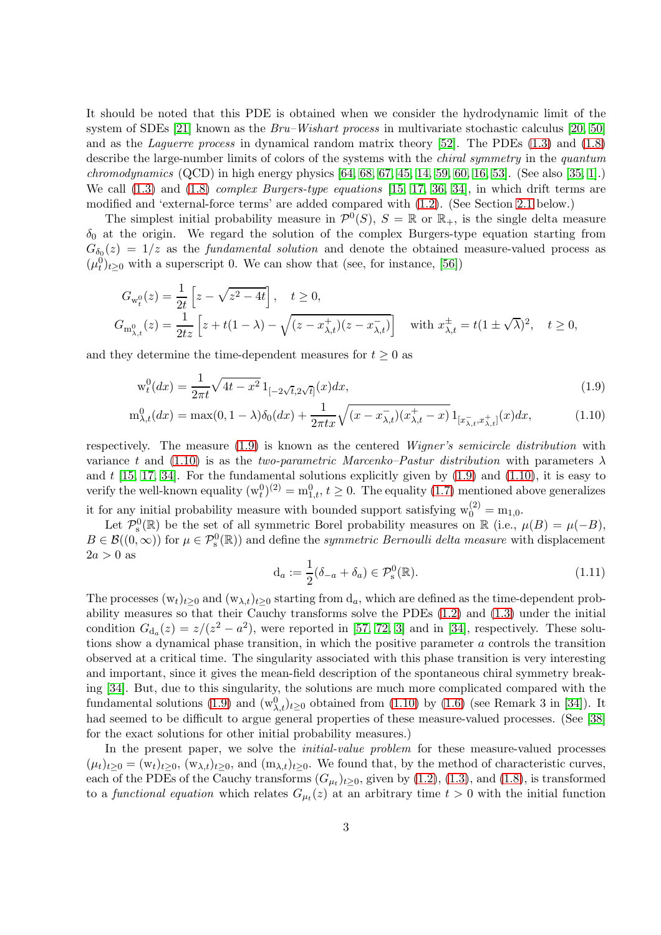It should be noted that this PDE is obtained when we consider the hydrodynamic limit of the system of SDEs [\[21\]](#page-21-5) known as the *Bru–Wishart process* in multivariate stochastic calculus [\[20,](#page-21-1) [50\]](#page-23-2) and as the *Laguerre process* in dynamical random matrix theory [\[52\]](#page-23-1). The PDEs [\(1.3\)](#page-1-1) and [\(1.8\)](#page-1-4) describe the large-number limits of colors of the systems with the *chiral symmetry* in the *quantum chromodynamics* (QCD) in high energy physics [\[64,](#page-23-9) [68,](#page-24-2) [67,](#page-23-10) [45,](#page-22-3) [14,](#page-21-2) [59,](#page-23-6) [60,](#page-23-7) [16,](#page-21-6) [53\]](#page-23-11). (See also [\[35,](#page-22-0) [1\]](#page-20-1).) We call [\(1.3\)](#page-1-1) and [\(1.8\)](#page-1-4) *complex Burgers-type equations* [\[15,](#page-21-3) [17,](#page-21-4) [36,](#page-22-4) [34\]](#page-22-5), in which drift terms are modified and 'external-force terms' are added compared with [\(1.2\)](#page-1-0). (See Section [2.1](#page-9-0) below.)

The simplest initial probability measure in  $\mathcal{P}^0(S)$ ,  $S = \mathbb{R}$  or  $\mathbb{R}_+$ , is the single delta measure  $\delta_0$  at the origin. We regard the solution of the complex Burgers-type equation starting from  $G_{\delta_0}(z) = 1/z$  as the *fundamental solution* and denote the obtained measure-valued process as  $(\mu_t^0)_{t\geq0}$  with a superscript 0. We can show that (see, for instance, [\[56\]](#page-23-4))

$$
G_{w_t^0}(z) = \frac{1}{2t} \left[ z - \sqrt{z^2 - 4t} \right], \quad t \ge 0,
$$
  
\n
$$
G_{m_{\lambda, t}^0}(z) = \frac{1}{2tz} \left[ z + t(1 - \lambda) - \sqrt{(z - x_{\lambda, t}^+)(z - x_{\lambda, t}^-)} \right] \quad \text{with } x_{\lambda, t}^{\pm} = t(1 \pm \sqrt{\lambda})^2, \quad t \ge 0,
$$

and they determine the time-dependent measures for  $t \geq 0$  as

$$
w_t^0(dx) = \frac{1}{2\pi t} \sqrt{4t - x^2} \, 1_{[-2\sqrt{t}, 2\sqrt{t}]}(x) dx,\tag{1.9}
$$

$$
m_{\lambda,t}^0(dx) = \max(0, 1 - \lambda)\delta_0(dx) + \frac{1}{2\pi tx} \sqrt{(x - x_{\lambda,t}^-)(x_{\lambda,t}^+ - x)} 1_{[x_{\lambda,t}^-, x_{\lambda,t}^+]}(x) dx, \tag{1.10}
$$

respectively. The measure [\(1.9\)](#page-2-0) is known as the centered *Wigner's semicircle distribution* with variance t and [\(1.10\)](#page-2-1) is as the *two-parametric Marcenko–Pastur distribution* with parameters  $\lambda$ and  $t$  [\[15,](#page-21-3) [17,](#page-21-4) [34\]](#page-22-5). For the fundamental solutions explicitly given by  $(1.9)$  and  $(1.10)$ , it is easy to verify the well-known equality  $(w_t^0)^{(2)} = m_{1,t}^0$ ,  $t \ge 0$ . The equality  $(1.7)$  mentioned above generalizes it for any initial probability measure with bounded support satisfying  $w_0^{(2)} = m_{1,0}$ .

Let  $\mathcal{P}_s^0(\mathbb{R})$  be the set of all symmetric Borel probability measures on  $\mathbb{R}$  (i.e.,  $\mu(B) = \mu(-B)$ ,  $B \in \mathcal{B}((0,\infty))$  for  $\mu \in \mathcal{P}_s^0(\mathbb{R})$  and define the *symmetric Bernoulli delta measure* with displacement  $2a > 0$  as

<span id="page-2-2"></span><span id="page-2-1"></span><span id="page-2-0"></span>
$$
\mathbf{d}_a := \frac{1}{2} (\delta_{-a} + \delta_a) \in \mathcal{P}_s^0(\mathbb{R}). \tag{1.11}
$$

The processes  $(w_t)_{t>0}$  and  $(w_{\lambda,t})_{t>0}$  starting from  $d_a$ , which are defined as the time-dependent probability measures so that their Cauchy transforms solve the PDEs [\(1.2\)](#page-1-0) and [\(1.3\)](#page-1-1) under the initial condition  $G_{d_a}(z) = z/(z^2 - a^2)$ , were reported in [\[57,](#page-23-12) [72,](#page-24-3) [3\]](#page-20-5) and in [\[34\]](#page-22-5), respectively. These solutions show a dynamical phase transition, in which the positive parameter a controls the transition observed at a critical time. The singularity associated with this phase transition is very interesting and important, since it gives the mean-field description of the spontaneous chiral symmetry breaking [\[34\]](#page-22-5). But, due to this singularity, the solutions are much more complicated compared with the fundamental solutions [\(1.9\)](#page-2-0) and  $(w_{\lambda,t}^0)_{t\geq0}$  obtained from [\(1.10\)](#page-2-1) by [\(1.6\)](#page-1-3) (see Remark 3 in [\[34\]](#page-22-5)). It had seemed to be difficult to argue general properties of these measure-valued processes. (See [\[38\]](#page-22-6) for the exact solutions for other initial probability measures.)

In the present paper, we solve the *initial-value problem* for these measure-valued processes  $(\mu_t)_{t\geq 0} = (\mathbf{w}_t)_{t\geq 0}, (\mathbf{w}_{\lambda,t})_{t\geq 0}$ , and  $(\mathbf{m}_{\lambda,t})_{t\geq 0}$ . We found that, by the method of characteristic curves, each of the PDEs of the Cauchy transforms  $(G_{\mu\nu})_{t\geq0}$ , given by  $(1.2)$ ,  $(1.3)$ , and  $(1.8)$ , is transformed to a *functional equation* which relates  $G_{\mu}(z)$  at an arbitrary time  $t > 0$  with the initial function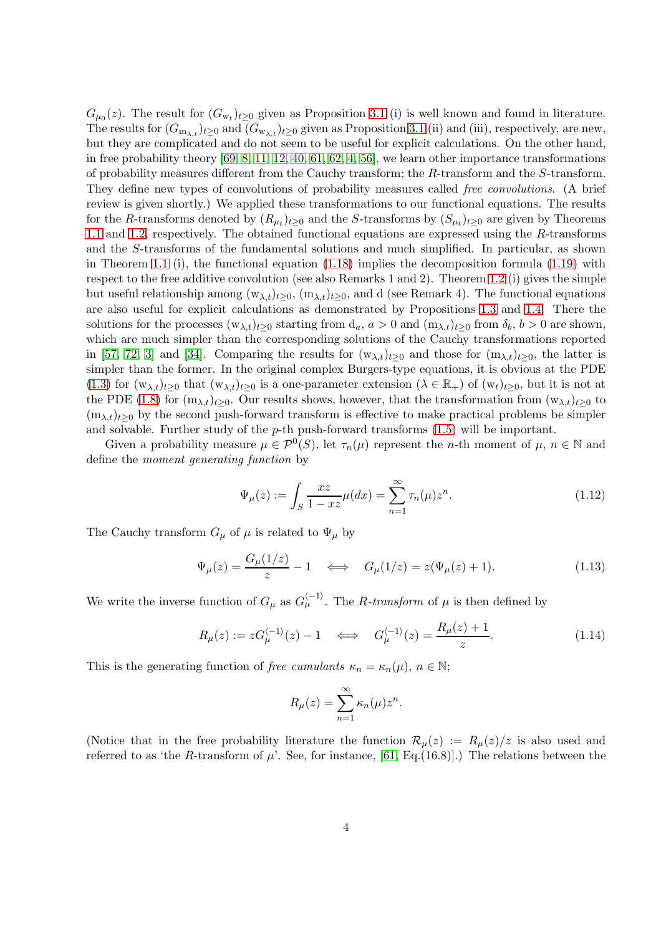$G_{\mu_0}(z)$ . The result for  $(G_{w_t})_{t\geq 0}$  given as Proposition [3.1](#page-14-0) (i) is well known and found in literature. The results for  $(G_{m_{\lambda,t}})_{t>0}$  and  $(G_{w_{\lambda,t}})_{t>0}$  given as Proposition [3.1](#page-14-0) (ii) and (iii), respectively, are new, but they are complicated and do not seem to be useful for explicit calculations. On the other hand, in free probability theory  $[69, 8, 11, 12, 40, 61, 62, 4, 56]$  $[69, 8, 11, 12, 40, 61, 62, 4, 56]$  $[69, 8, 11, 12, 40, 61, 62, 4, 56]$  $[69, 8, 11, 12, 40, 61, 62, 4, 56]$  $[69, 8, 11, 12, 40, 61, 62, 4, 56]$  $[69, 8, 11, 12, 40, 61, 62, 4, 56]$  $[69, 8, 11, 12, 40, 61, 62, 4, 56]$  $[69, 8, 11, 12, 40, 61, 62, 4, 56]$  $[69, 8, 11, 12, 40, 61, 62, 4, 56]$ , we learn other importance transformations of probability measures different from the Cauchy transform; the R-transform and the S-transform. They define new types of convolutions of probability measures called *free convolutions*. (A brief review is given shortly.) We applied these transformations to our functional equations. The results for the R-transforms denoted by  $(R_{\mu\nu})_{t\geq0}$  and the S-transforms by  $(S_{\mu\nu})_{t\geq0}$  are given by Theorems [1.1](#page-5-0) and [1.2,](#page-7-0) respectively. The obtained functional equations are expressed using the R-transforms and the S-transforms of the fundamental solutions and much simplified. In particular, as shown in Theorem [1.1](#page-5-0) (i), the functional equation  $(1.18)$  implies the decomposition formula  $(1.19)$  with respect to the free additive convolution (see also Remarks 1 and 2). Theorem [1.2](#page-7-0) (i) gives the simple but useful relationship among  $(w_{\lambda,t})_{t>0}$ ,  $(m_{\lambda,t})_{t>0}$ , and d (see Remark 4). The functional equations are also useful for explicit calculations as demonstrated by Propositions [1.3](#page-8-0) and [1.4.](#page-8-1) There the solutions for the processes  $(w_{\lambda,t})_{t>0}$  starting from  $d_a$ ,  $a > 0$  and  $(m_{\lambda,t})_{t>0}$  from  $\delta_b$ ,  $b > 0$  are shown, which are much simpler than the corresponding solutions of the Cauchy transformations reported in [\[57,](#page-23-12) [72,](#page-24-3) [3\]](#page-20-5) and [\[34\]](#page-22-5). Comparing the results for  $(w_{\lambda,t})_{t>0}$  and those for  $(m_{\lambda,t})_{t>0}$ , the latter is simpler than the former. In the original complex Burgers-type equations, it is obvious at the PDE [\(1.3\)](#page-1-1) for  $(w_{\lambda,t})_{t>0}$  that  $(w_{\lambda,t})_{t>0}$  is a one-parameter extension  $(\lambda \in \mathbb{R}_+)$  of  $(w_t)_{t>0}$ , but it is not at the PDE [\(1.8\)](#page-1-4) for  $(m_{\lambda,t})_{t\geq 0}$ . Our results shows, however, that the transformation from  $(w_{\lambda,t})_{t\geq 0}$  to  $(m_{\lambda,t})_{t>0}$  by the second push-forward transform is effective to make practical problems be simpler and solvable. Further study of the  $p$ -th push-forward transforms  $(1.5)$  will be important.

Given a probability measure  $\mu \in \mathcal{P}^0(S)$ , let  $\tau_n(\mu)$  represent the *n*-th moment of  $\mu, n \in \mathbb{N}$  and define the *moment generating function* by

<span id="page-3-0"></span>
$$
\Psi_{\mu}(z) := \int_{S} \frac{xz}{1 - xz} \mu(dx) = \sum_{n=1}^{\infty} \tau_n(\mu) z^n.
$$
\n(1.12)

The Cauchy transform  $G_{\mu}$  of  $\mu$  is related to  $\Psi_{\mu}$  by

<span id="page-3-1"></span>
$$
\Psi_{\mu}(z) = \frac{G_{\mu}(1/z)}{z} - 1 \quad \Longleftrightarrow \quad G_{\mu}(1/z) = z(\Psi_{\mu}(z) + 1). \tag{1.13}
$$

We write the inverse function of  $G_{\mu}$  as  $G_{\mu}^{\langle -1 \rangle}$ . The *R-transform* of  $\mu$  is then defined by

<span id="page-3-2"></span>
$$
R_{\mu}(z) := zG_{\mu}^{\langle -1 \rangle}(z) - 1 \quad \Longleftrightarrow \quad G_{\mu}^{\langle -1 \rangle}(z) = \frac{R_{\mu}(z) + 1}{z}.
$$
 (1.14)

This is the generating function of *free cumulants*  $\kappa_n = \kappa_n(\mu)$ ,  $n \in \mathbb{N}$ ;

$$
R_{\mu}(z) = \sum_{n=1}^{\infty} \kappa_n(\mu) z^n.
$$

(Notice that in the free probability literature the function  $\mathcal{R}_{\mu}(z) := R_{\mu}(z)/z$  is also used and referred to as 'the R-transform of  $\mu$ '. See, for instance, [\[61,](#page-23-3) Eq.(16.8)].) The relations between the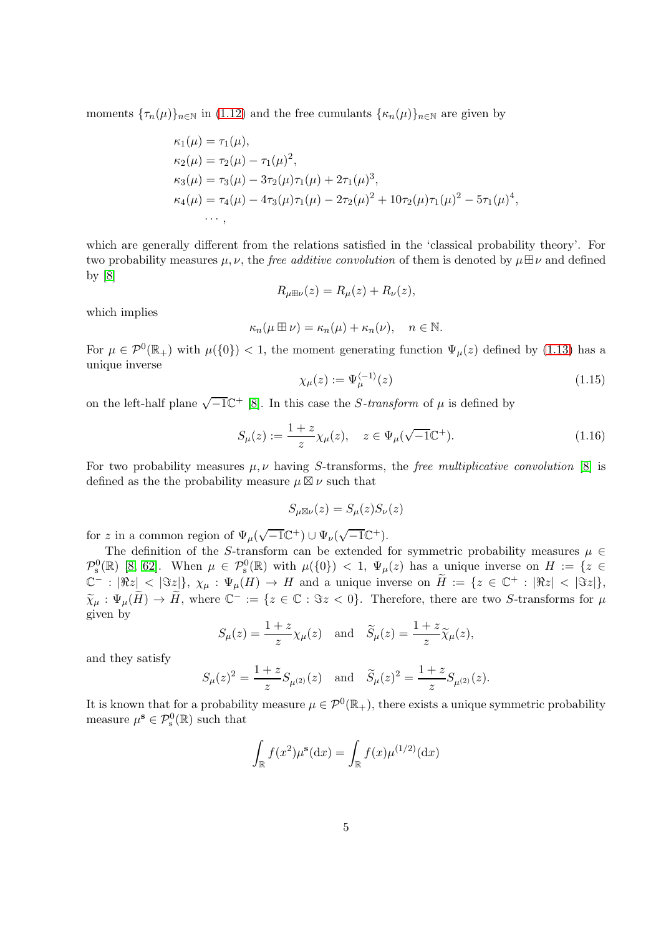moments  ${\lbrace \tau_n(\mu) \rbrace_{n \in \mathbb{N}}}$  in [\(1.12\)](#page-3-0) and the free cumulants  ${\lbrace \kappa_n(\mu) \rbrace_{n \in \mathbb{N}}}$  are given by

$$
\kappa_1(\mu) = \tau_1(\mu),
$$
  
\n
$$
\kappa_2(\mu) = \tau_2(\mu) - \tau_1(\mu)^2,
$$
  
\n
$$
\kappa_3(\mu) = \tau_3(\mu) - 3\tau_2(\mu)\tau_1(\mu) + 2\tau_1(\mu)^3,
$$
  
\n
$$
\kappa_4(\mu) = \tau_4(\mu) - 4\tau_3(\mu)\tau_1(\mu) - 2\tau_2(\mu)^2 + 10\tau_2(\mu)\tau_1(\mu)^2 - 5\tau_1(\mu)^4,
$$
  
\n...

which are generally different from the relations satisfied in the 'classical probability theory'. For two probability measures  $\mu$ ,  $\nu$ , the *free additive convolution* of them is denoted by  $\mu \boxplus \nu$  and defined by [\[8\]](#page-20-2)

$$
R_{\mu\boxplus\nu}(z) = R_{\mu}(z) + R_{\nu}(z),
$$

which implies

$$
\kappa_n(\mu \boxplus \nu) = \kappa_n(\mu) + \kappa_n(\nu), \quad n \in \mathbb{N}.
$$

For  $\mu \in \mathcal{P}^0(\mathbb{R}_+)$  with  $\mu({0}) < 1$ , the moment generating function  $\Psi_\mu(z)$  defined by [\(1.13\)](#page-3-1) has a unique inverse

<span id="page-4-0"></span>
$$
\chi_{\mu}(z) := \Psi_{\mu}^{\langle -1 \rangle}(z) \tag{1.15}
$$

on the left-half plane  $\sqrt{-1}\mathbb{C}^+$  [\[8\]](#page-20-2). In this case the *S*-transform of  $\mu$  is defined by

<span id="page-4-1"></span>
$$
S_{\mu}(z) := \frac{1+z}{z} \chi_{\mu}(z), \quad z \in \Psi_{\mu}(\sqrt{-1} \mathbb{C}^{+}).
$$
\n(1.16)

For two probability measures  $\mu, \nu$  having S-transforms, the *free multiplicative convolution* [\[8\]](#page-20-2) is defined as the the probability measure  $\mu \boxtimes \nu$  such that

$$
S_{\mu\boxtimes\nu}(z)=S_{\mu}(z)S_{\nu}(z)
$$

for z in a common region of  $\Psi_{\mu}(\sqrt{-1}\mathbb{C}^{+}) \cup \Psi_{\nu}(\sqrt{-1}\mathbb{C}^{+}).$ 

The definition of the S-transform can be extended for symmetric probability measures  $\mu \in$  $\mathcal{P}_s^0(\mathbb{R})$  [\[8,](#page-20-2) [62\]](#page-23-8). When  $\mu \in \mathcal{P}_s^0(\mathbb{R})$  with  $\mu({0}) < 1$ ,  $\Psi_\mu(z)$  has a unique inverse on  $H := \{z \in$  $\mathbb{C}^- : |\Re z| < |\Im z| \}, \ \chi_\mu : \Psi_\mu(H) \to H \text{ and a unique inverse on } \widetilde{H} := \{ z \in \mathbb{C}^+ : |\Re z| < |\Im z| \},$  $\widetilde{\chi}_{\mu}: \Psi_{\mu}(\widetilde{H}) \to \widetilde{H}$ , where  $\mathbb{C}^- := \{z \in \mathbb{C} : \Im z < 0\}$ . Therefore, there are two S-transforms for  $\mu$ given by

$$
S_{\mu}(z) = \frac{1+z}{z} \chi_{\mu}(z)
$$
 and  $\widetilde{S}_{\mu}(z) = \frac{1+z}{z} \widetilde{\chi}_{\mu}(z)$ ,

and they satisfy

$$
S_{\mu}(z)^2 = \frac{1+z}{z} S_{\mu^{(2)}}(z)
$$
 and  $\tilde{S}_{\mu}(z)^2 = \frac{1+z}{z} S_{\mu^{(2)}}(z)$ .

It is known that for a probability measure  $\mu \in \mathcal{P}^0(\mathbb{R}_+)$ , there exists a unique symmetric probability measure  $\mu^{\mathbf{s}} \in \mathcal{P}_{\mathrm{s}}^0(\mathbb{R})$  such that

$$
\int_{\mathbb{R}} f(x^2) \mu^{\mathbf{s}}(\mathrm{d}x) = \int_{\mathbb{R}} f(x) \mu^{(1/2)}(\mathrm{d}x)
$$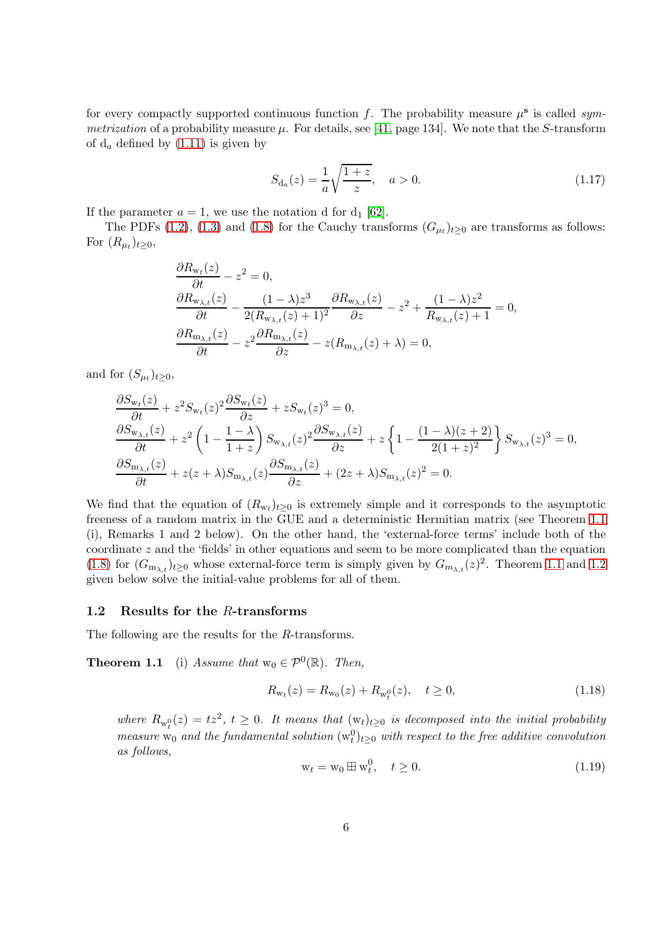for every compactly supported continuous function  $f$ . The probability measure  $\mu^s$  is called *symmetrization* of a probability measure  $\mu$ . For details, see [\[41,](#page-22-8) page 134]. We note that the S-transform of  $d_a$  defined by  $(1.11)$  is given by

<span id="page-5-3"></span>
$$
S_{d_a}(z) = \frac{1}{a} \sqrt{\frac{1+z}{z}}, \quad a > 0.
$$
 (1.17)

If the parameter  $a = 1$ , we use the notation d for  $d_1$  [\[62\]](#page-23-8).

The PDFs [\(1.2\)](#page-1-0), [\(1.3\)](#page-1-1) and [\(1.8\)](#page-1-4) for the Cauchy transforms  $(G_{\mu_t})_{t\geq 0}$  are transforms as follows: For  $(R_{\mu_t})_{t\geq 0}$ ,

$$
\frac{\partial R_{w_t}(z)}{\partial t} - z^2 = 0,
$$
\n
$$
\frac{\partial R_{w_{\lambda,t}}(z)}{\partial t} - \frac{(1-\lambda)z^3}{2(R_{w_{\lambda,t}}(z)+1)^2} \frac{\partial R_{w_{\lambda,t}}(z)}{\partial z} - z^2 + \frac{(1-\lambda)z^2}{R_{w_{\lambda,t}}(z)+1} = 0,
$$
\n
$$
\frac{\partial R_{m_{\lambda,t}}(z)}{\partial t} - z^2 \frac{\partial R_{m_{\lambda,t}}(z)}{\partial z} - z(R_{m_{\lambda,t}}(z)+\lambda) = 0,
$$

and for  $(S_{\mu_t})_{t\geq 0}$ ,

$$
\frac{\partial S_{\mathbf{w}_t}(z)}{\partial t} + z^2 S_{\mathbf{w}_t}(z)^2 \frac{\partial S_{\mathbf{w}_t}(z)}{\partial z} + z S_{\mathbf{w}_t}(z)^3 = 0,
$$
\n
$$
\frac{\partial S_{\mathbf{w}_{\lambda,t}}(z)}{\partial t} + z^2 \left(1 - \frac{1 - \lambda}{1 + z}\right) S_{\mathbf{w}_{\lambda,t}}(z)^2 \frac{\partial S_{\mathbf{w}_{\lambda,t}}(z)}{\partial z} + z \left\{1 - \frac{(1 - \lambda)(z + 2)}{2(1 + z)^2}\right\} S_{\mathbf{w}_{\lambda,t}}(z)^3 = 0,
$$
\n
$$
\frac{\partial S_{\mathbf{m}_{\lambda,t}}(z)}{\partial t} + z(z + \lambda) S_{\mathbf{m}_{\lambda,t}}(z) \frac{\partial S_{\mathbf{m}_{\lambda,t}}(z)}{\partial z} + (2z + \lambda) S_{\mathbf{m}_{\lambda,t}}(z)^2 = 0.
$$

We find that the equation of  $(R_{w_t})_{t\geq 0}$  is extremely simple and it corresponds to the asymptotic freeness of a random matrix in the GUE and a deterministic Hermitian matrix (see Theorem [1.1](#page-5-0) (i), Remarks 1 and 2 below). On the other hand, the 'external-force terms' include both of the coordinate z and the 'fields' in other equations and seem to be more complicated than the equation [\(1.8\)](#page-1-4) for  $(G_{m_{\lambda,t}})_{t\geq0}$  whose external-force term is simply given by  $G_{m_{\lambda,t}}(z)^2$ . Theorem [1.1](#page-5-0) and [1.2](#page-7-0) given below solve the initial-value problems for all of them.

#### 1.2 Results for the R-transforms

The following are the results for the R-transforms.

**Theorem 1.1** (i) *Assume that*  $w_0 \in \mathcal{P}^0(\mathbb{R})$ *. Then,* 

<span id="page-5-1"></span><span id="page-5-0"></span>
$$
R_{\mathbf{w}_t}(z) = R_{\mathbf{w}_0}(z) + R_{\mathbf{w}_t^0}(z), \quad t \ge 0,
$$
\n(1.18)

where  $R_{w_t^0}(z) = tz^2$ ,  $t \geq 0$ . It means that  $(w_t)_{t \geq 0}$  is decomposed into the initial probability  $measure \ w_0$  and the fundamental solution  $(w_t^0)_{t\geq 0}$  with respect to the free additive convolution *as follows,*

<span id="page-5-2"></span>
$$
\mathbf{w}_t = \mathbf{w}_0 \boxplus \mathbf{w}_t^0, \quad t \ge 0. \tag{1.19}
$$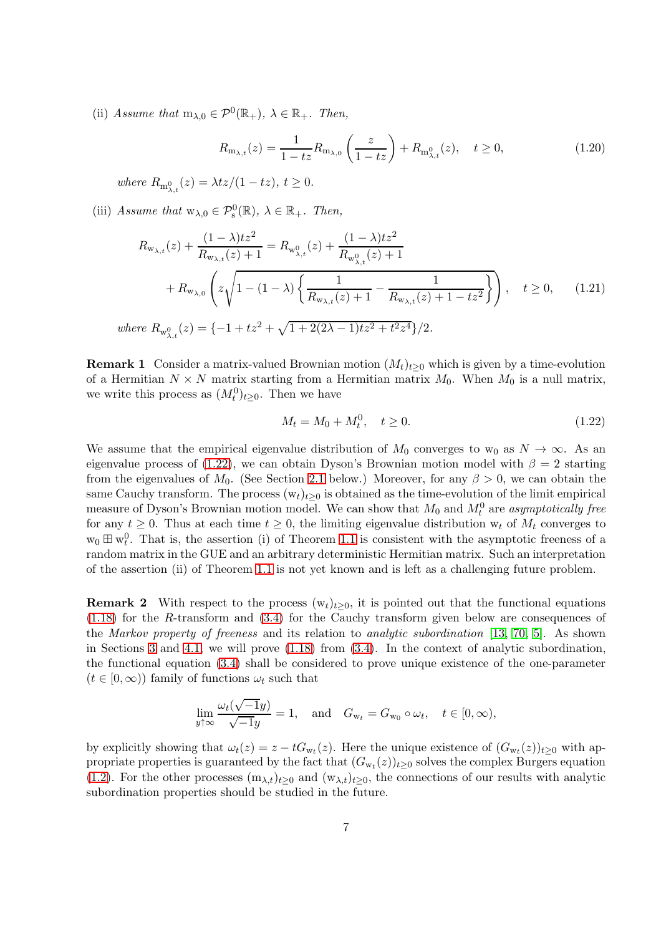(ii) *Assume that*  $m_{\lambda,0} \in \mathcal{P}^0(\mathbb{R}_+), \ \lambda \in \mathbb{R}_+$ *. Then,* 

<span id="page-6-1"></span>
$$
R_{\mathbf{m}_{\lambda,t}}(z) = \frac{1}{1-tz} R_{\mathbf{m}_{\lambda,0}} \left( \frac{z}{1-tz} \right) + R_{\mathbf{m}_{\lambda,t}^0}(z), \quad t \ge 0,
$$
\n(1.20)

 $where R_{m_{\lambda,t}^0}(z) = \lambda tz/(1-tz), t \ge 0.$ 

(iii) *Assume that*  $w_{\lambda,0} \in \mathcal{P}_s^0(\mathbb{R})$ ,  $\lambda \in \mathbb{R}_+$ *. Then,* 

$$
R_{\mathbf{w}_{\lambda,t}}(z) + \frac{(1-\lambda)tz^2}{R_{\mathbf{w}_{\lambda,t}}(z) + 1} = R_{\mathbf{w}_{\lambda,t}^0}(z) + \frac{(1-\lambda)tz^2}{R_{\mathbf{w}_{\lambda,t}^0}(z) + 1} + R_{\mathbf{w}_{\lambda,0}}\left(z\sqrt{1 - (1-\lambda)\left\{\frac{1}{R_{\mathbf{w}_{\lambda,t}}(z) + 1} - \frac{1}{R_{\mathbf{w}_{\lambda,t}}(z) + 1 - tz^2}\right\}}\right), \quad t \ge 0,
$$
(1.21)

 $where R_{\mathbf{w}_{\lambda,t}^0}(z) = \{-1 + tz^2 + \sqrt{1 + 2(2\lambda - 1)tz^2 + t^2z^4}\}/2.$ 

**Remark 1** Consider a matrix-valued Brownian motion  $(M_t)_{t\geq0}$  which is given by a time-evolution of a Hermitian  $N \times N$  matrix starting from a Hermitian matrix  $M_0$ . When  $M_0$  is a null matrix, we write this process as  $(M_t^0)_{t\geq 0}$ . Then we have

<span id="page-6-2"></span><span id="page-6-0"></span>
$$
M_t = M_0 + M_t^0, \quad t \ge 0.
$$
\n(1.22)

We assume that the empirical eigenvalue distribution of  $M_0$  converges to w<sub>0</sub> as  $N \to \infty$ . As an eigenvalue process of [\(1.22\)](#page-6-0), we can obtain Dyson's Brownian motion model with  $\beta = 2$  starting from the eigenvalues of  $M_0$ . (See Section [2.1](#page-9-0) below.) Moreover, for any  $\beta > 0$ , we can obtain the same Cauchy transform. The process  $(w_t)_{t\geq 0}$  is obtained as the time-evolution of the limit empirical measure of Dyson's Brownian motion model. We can show that  $M_0$  and  $M_t^0$  are *asymptotically free* for any  $t \geq 0$ . Thus at each time  $t \geq 0$ , the limiting eigenvalue distribution  $w_t$  of  $M_t$  converges to  $w_0 \boxplus w_t^0$ . That is, the assertion (i) of Theorem [1.1](#page-5-0) is consistent with the asymptotic freeness of a random matrix in the GUE and an arbitrary deterministic Hermitian matrix. Such an interpretation of the assertion (ii) of Theorem [1.1](#page-5-0) is not yet known and is left as a challenging future problem.

**Remark 2** With respect to the process  $(w_t)_{t>0}$ , it is pointed out that the functional equations [\(1.18\)](#page-5-1) for the R-transform and [\(3.4\)](#page-14-1) for the Cauchy transform given below are consequences of the *Markov property of freeness* and its relation to *analytic subordination* [\[13,](#page-21-7) [70,](#page-24-4) [5\]](#page-20-7). As shown in Sections [3](#page-14-2) and [4.1,](#page-16-0) we will prove [\(1.18\)](#page-5-1) from [\(3.4\)](#page-14-1). In the context of analytic subordination, the functional equation [\(3.4\)](#page-14-1) shall be considered to prove unique existence of the one-parameter  $(t \in [0, \infty))$  family of functions  $\omega_t$  such that

$$
\lim_{y \uparrow \infty} \frac{\omega_t(\sqrt{-1}y)}{\sqrt{-1}y} = 1, \text{ and } G_{w_t} = G_{w_0} \circ \omega_t, \quad t \in [0, \infty),
$$

by explicitly showing that  $\omega_t(z) = z - tG_{w_t}(z)$ . Here the unique existence of  $(G_{w_t}(z))_{t \geq 0}$  with appropriate properties is guaranteed by the fact that  $(G_{w_t}(z))_{t\geq 0}$  solves the complex Burgers equation [\(1.2\)](#page-1-0). For the other processes  $(m_{\lambda,t})_{t>0}$  and  $(w_{\lambda,t})_{t>0}$ , the connections of our results with analytic subordination properties should be studied in the future.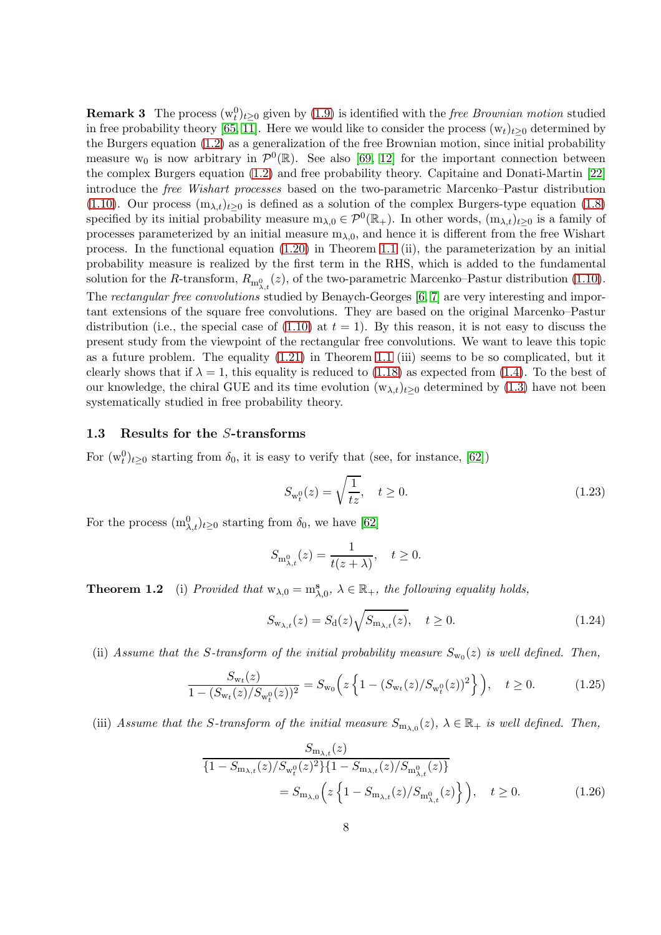**Remark 3** The process  $(w_t^0)_{t\geq 0}$  given by [\(1.9\)](#page-2-0) is identified with the *free Brownian motion* studied in free probability theory [\[65,](#page-23-13) [11\]](#page-20-3). Here we would like to consider the process  $(w_t)_{t\geq 0}$  determined by the Burgers equation [\(1.2\)](#page-1-0) as a generalization of the free Brownian motion, since initial probability measure  $w_0$  is now arbitrary in  $\mathcal{P}^0(\mathbb{R})$ . See also [\[69,](#page-24-0) [12\]](#page-20-4) for the important connection between the complex Burgers equation [\(1.2\)](#page-1-0) and free probability theory. Capitaine and Donati-Martin [\[22\]](#page-21-8) introduce the *free Wishart processes* based on the two-parametric Marcenko–Pastur distribution [\(1.10\)](#page-2-1). Our process  $(m_{\lambda,t})_{t>0}$  is defined as a solution of the complex Burgers-type equation [\(1.8\)](#page-1-4) specified by its initial probability measure  $m_{\lambda,0} \in \mathcal{P}^0(\mathbb{R}_+)$ . In other words,  $(m_{\lambda,t})_{t\geq 0}$  is a family of processes parameterized by an initial measure  $m_{\lambda,0}$ , and hence it is different from the free Wishart process. In the functional equation [\(1.20\)](#page-6-1) in Theorem [1.1](#page-5-0) (ii), the parameterization by an initial probability measure is realized by the first term in the RHS, which is added to the fundamental solution for the R-transform,  $R_{m_{\lambda,t}^0}(z)$ , of the two-parametric Marcenko–Pastur distribution [\(1.10\)](#page-2-1). The *rectangular free convolutions* studied by Benaych-Georges [\[6,](#page-20-8) [7\]](#page-20-9) are very interesting and important extensions of the square free convolutions. They are based on the original Marcenko–Pastur distribution (i.e., the special case of  $(1.10)$  at  $t = 1$ ). By this reason, it is not easy to discuss the present study from the viewpoint of the rectangular free convolutions. We want to leave this topic as a future problem. The equality [\(1.21\)](#page-6-2) in Theorem [1.1](#page-5-0) (iii) seems to be so complicated, but it clearly shows that if  $\lambda = 1$ , this equality is reduced to [\(1.18\)](#page-5-1) as expected from [\(1.4\)](#page-1-2). To the best of our knowledge, the chiral GUE and its time evolution  $(w_{\lambda,t})_{t>0}$  determined by [\(1.3\)](#page-1-1) have not been systematically studied in free probability theory.

#### 1.3 Results for the S-transforms

For  $(w_t^0)_{t\geq 0}$  starting from  $\delta_0$ , it is easy to verify that (see, for instance, [\[62\]](#page-23-8))

<span id="page-7-3"></span>
$$
S_{w_t^0}(z) = \sqrt{\frac{1}{tz}}, \quad t \ge 0.
$$
\n(1.23)

For the process  $(m_{\lambda,t}^0)_{t\geq0}$  starting from  $\delta_0$ , we have [\[62\]](#page-23-8)

$$
S_{\mathbf{m}_{\lambda,t}^0}(z) = \frac{1}{t(z+\lambda)}, \quad t \ge 0.
$$

<span id="page-7-0"></span>**Theorem 1.2** (i) *Provided that*  $w_{\lambda,0} = m_{\lambda,0}^s$ ,  $\lambda \in \mathbb{R}_+$ , the following equality holds,

<span id="page-7-4"></span><span id="page-7-2"></span>
$$
S_{\mathbf{w}_{\lambda,t}}(z) = S_{\mathbf{d}}(z) \sqrt{S_{\mathbf{m}_{\lambda,t}}(z)}, \quad t \ge 0.
$$
 (1.24)

(ii) Assume that the S-transform of the initial probability measure  $S_{w_0}(z)$  is well defined. Then,

<span id="page-7-1"></span>
$$
\frac{S_{\mathbf{w}_t}(z)}{1 - (S_{\mathbf{w}_t}(z)/S_{\mathbf{w}_t^0}(z))^2} = S_{\mathbf{w}_0}\left(z\left\{1 - (S_{\mathbf{w}_t}(z)/S_{\mathbf{w}_t^0}(z))^2\right\}\right), \quad t \ge 0. \tag{1.25}
$$

(iii) Assume that the S-transform of the initial measure  $S_{m_{\lambda,0}}(z)$ ,  $\lambda \in \mathbb{R}_+$  is well defined. Then,

$$
\frac{S_{\mathbf{m}_{\lambda,t}}(z)}{\{1 - S_{\mathbf{m}_{\lambda,t}}(z)/S_{\mathbf{w}_t^0}(z)^2\}\{1 - S_{\mathbf{m}_{\lambda,t}}(z)/S_{\mathbf{m}_{\lambda,t}^0}(z)\}}
$$
\n
$$
= S_{\mathbf{m}_{\lambda,0}}\left(z\left\{1 - S_{\mathbf{m}_{\lambda,t}}(z)/S_{\mathbf{m}_{\lambda,t}^0}(z)\right\}\right), \quad t \ge 0. \tag{1.26}
$$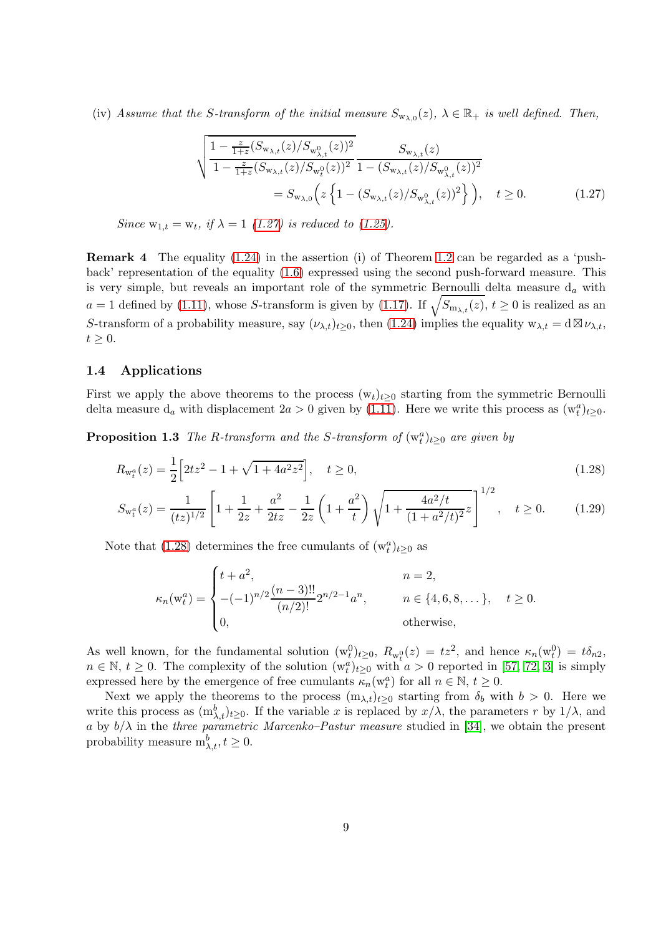(iv) Assume that the S-transform of the initial measure  $S_{w_{\lambda,0}}(z)$ ,  $\lambda \in \mathbb{R}_+$  is well defined. Then,

<span id="page-8-2"></span>
$$
\sqrt{\frac{1 - \frac{z}{1+z}(S_{\mathbf{w}_{\lambda,t}}(z)/S_{\mathbf{w}_{\lambda,t}^0}(z))^2}{1 - \frac{z}{1+z}(S_{\mathbf{w}_{\lambda,t}}(z)/S_{\mathbf{w}_t^0}(z))^2}} \frac{S_{\mathbf{w}_{\lambda,t}}(z)}{1 - (S_{\mathbf{w}_{\lambda,t}}(z)/S_{\mathbf{w}_{\lambda,t}^0}(z))^2}} = S_{\mathbf{w}_{\lambda,0}}\left(z\left\{1 - (S_{\mathbf{w}_{\lambda,t}}(z)/S_{\mathbf{w}_{\lambda,t}^0}(z))^2\right\}\right), \quad t \ge 0. \tag{1.27}
$$

*Since*  $w_{1,t} = w_t$ *, if*  $\lambda = 1$  *[\(1.27\)](#page-8-2) is reduced to [\(1.25\)](#page-7-1).* 

Remark 4 The equality [\(1.24\)](#page-7-2) in the assertion (i) of Theorem [1.2](#page-7-0) can be regarded as a 'pushback' representation of the equality [\(1.6\)](#page-1-3) expressed using the second push-forward measure. This is very simple, but reveals an important role of the symmetric Bernoulli delta measure  $d_a$  with  $a = 1$  defined by [\(1.11\)](#page-2-2), whose S-transform is given by [\(1.17\)](#page-5-3). If  $\sqrt{S_{m_{\lambda,t}}(z)}$ ,  $t \ge 0$  is realized as an S-transform of a probability measure, say  $(\nu_{\lambda,t})_{t>0}$ , then [\(1.24\)](#page-7-2) implies the equality  $w_{\lambda,t} = d \boxtimes \nu_{\lambda,t}$ ,  $t \geq 0$ .

#### 1.4 Applications

First we apply the above theorems to the process  $(w_t)_{t>0}$  starting from the symmetric Bernoulli delta measure  $d_a$  with displacement  $2a > 0$  given by [\(1.11\)](#page-2-2). Here we write this process as  $(w_t^a)_{t \geq 0}$ .

**Proposition 1.3** *The R-transform and the S-transform of*  $(w_t^a)_{t\geq 0}$  *are given by* 

$$
R_{w_t^a}(z) = \frac{1}{2} \left[ 2tz^2 - 1 + \sqrt{1 + 4a^2 z^2} \right], \quad t \ge 0,
$$
\n(1.28)

$$
S_{\mathbf{w}_t^a}(z) = \frac{1}{(tz)^{1/2}} \left[ 1 + \frac{1}{2z} + \frac{a^2}{2tz} - \frac{1}{2z} \left( 1 + \frac{a^2}{t} \right) \sqrt{1 + \frac{4a^2/t}{(1 + a^2/t)^2}} z \right]^{1/2}, \quad t \ge 0. \tag{1.29}
$$

Note that [\(1.28\)](#page-8-3) determines the free cumulants of  $(w_t^a)_{t\geq 0}$  as

<span id="page-8-4"></span><span id="page-8-3"></span><span id="page-8-0"></span>
$$
\kappa_n(\mathbf{w}_t^a) = \begin{cases} t + a^2, & n = 2, \\ -(1)^{n/2} \frac{(n-3)!!}{(n/2)!} 2^{n/2 - 1} a^n, & n \in \{4, 6, 8, \dots\}, \quad t \ge 0. \\ 0, & \text{otherwise,} \end{cases}
$$

As well known, for the fundamental solution  $(w_t^0)_{t>0}$ ,  $R_{w_t^0}(z) = tz^2$ , and hence  $\kappa_n(w_t^0) = t\delta_{n2}$ ,  $n \in \mathbb{N}, t \geq 0$ . The complexity of the solution  $(w_t^a)_{t\geq 0}$  with  $a > 0$  reported in [\[57,](#page-23-12) [72,](#page-24-3) [3\]](#page-20-5) is simply expressed here by the emergence of free cumulants  $\kappa_n(\mathbf{w}_t^a)$  for all  $n \in \mathbb{N}, t \geq 0$ .

<span id="page-8-1"></span>Next we apply the theorems to the process  $(m_{\lambda,t})_{t\geq0}$  starting from  $\delta_b$  with  $b>0$ . Here we write this process as  $(m_{\lambda,t}^b)_{t\geq0}$ . If the variable x is replaced by  $x/\lambda$ , the parameters r by  $1/\lambda$ , and a by  $b/\lambda$  in the *three parametric Marcenko–Pastur measure* studied in [\[34\]](#page-22-5), we obtain the present probability measure  $m_{\lambda,t}^b, t \geq 0$ .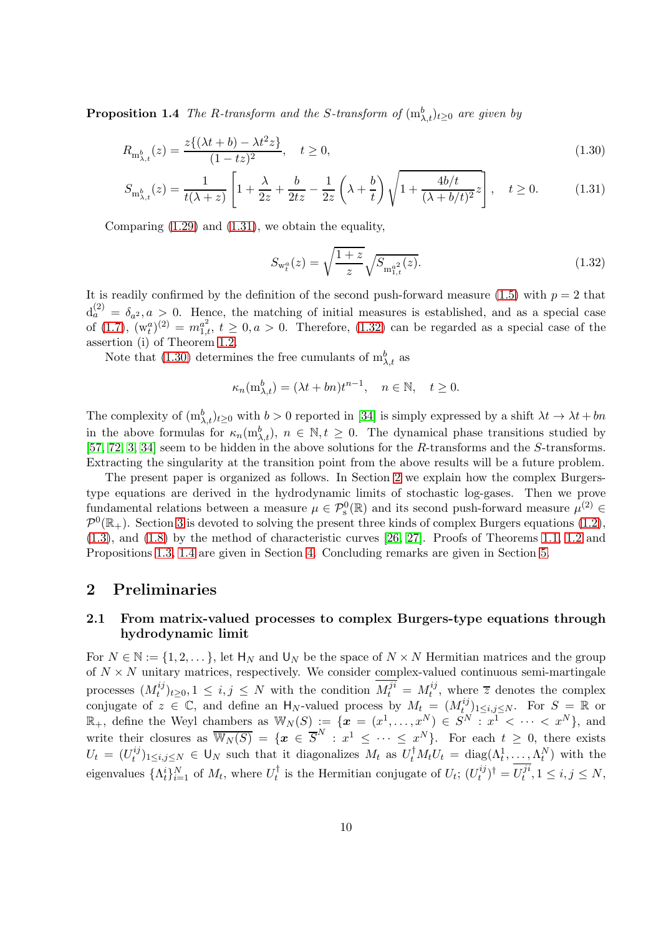**Proposition 1.4** *The R-transform and the S-transform of*  $(m_{\lambda,t}^b)_{t\geq 0}$  *are given by* 

$$
R_{\mathbf{m}^b_{\lambda,t}}(z) = \frac{z\{(\lambda t + b) - \lambda t^2 z\}}{(1 - tz)^2}, \quad t \ge 0,
$$
\n(1.30)

$$
S_{\mathbf{m}_{\lambda,t}^b}(z) = \frac{1}{t(\lambda+z)} \left[ 1 + \frac{\lambda}{2z} + \frac{b}{2tz} - \frac{1}{2z} \left( \lambda + \frac{b}{t} \right) \sqrt{1 + \frac{4b/t}{(\lambda+b/t)^2}} z \right], \quad t \ge 0.
$$
 (1.31)

Comparing  $(1.29)$  and  $(1.31)$ , we obtain the equality,

<span id="page-9-3"></span><span id="page-9-2"></span><span id="page-9-1"></span>
$$
S_{\mathbf{w}_t^a}(z) = \sqrt{\frac{1+z}{z}} \sqrt{S_{\mathbf{m}_{1,t}^{a^2}}(z)}.
$$
\n(1.32)

It is readily confirmed by the definition of the second push-forward measure  $(1.5)$  with  $p = 2$  that  $d_a^{(2)} = \delta_{a^2}, a > 0$ . Hence, the matching of initial measures is established, and as a special case of  $(1.7)$ ,  $(w_t^a)^{(2)} = m_{1,t}^{a^2}$ ,  $t \geq 0, a > 0$ . Therefore,  $(1.32)$  can be regarded as a special case of the assertion (i) of Theorem [1.2.](#page-7-0)

Note that [\(1.30\)](#page-9-3) determines the free cumulants of  $m_{\lambda,t}^b$  as

$$
\kappa_n(\mathbf{m}_{\lambda,t}^b) = (\lambda t + b n)t^{n-1}, \quad n \in \mathbb{N}, \quad t \ge 0.
$$

The complexity of  $(m_{\lambda,t}^b)_{t\geq0}$  with  $b>0$  reported in [\[34\]](#page-22-5) is simply expressed by a shift  $\lambda t \to \lambda t + bn$ in the above formulas for  $\kappa_n(m_{\lambda,t}^b)$ ,  $n \in \mathbb{N}, t \geq 0$ . The dynamical phase transitions studied by [\[57,](#page-23-12) [72,](#page-24-3) [3,](#page-20-5) [34\]](#page-22-5) seem to be hidden in the above solutions for the R-transforms and the S-transforms. Extracting the singularity at the transition point from the above results will be a future problem.

The present paper is organized as follows. In Section [2](#page-9-4) we explain how the complex Burgerstype equations are derived in the hydrodynamic limits of stochastic log-gases. Then we prove fundamental relations between a measure  $\mu \in \mathcal{P}_s^0(\mathbb{R})$  and its second push-forward measure  $\mu^{(2)} \in$  $\mathcal{P}^0(\mathbb{R}_+)$ . Section [3](#page-14-2) is devoted to solving the present three kinds of complex Burgers equations [\(1.2\)](#page-1-0), [\(1.3\)](#page-1-1), and [\(1.8\)](#page-1-4) by the method of characteristic curves [\[26,](#page-21-9) [27\]](#page-21-10). Proofs of Theorems [1.1,](#page-5-0) [1.2](#page-7-0) and Propositions [1.3,](#page-8-0) [1.4](#page-8-1) are given in Section [4.](#page-16-1) Concluding remarks are given in Section [5.](#page-18-0)

# <span id="page-9-4"></span><span id="page-9-0"></span>2 Preliminaries

# 2.1 From matrix-valued processes to complex Burgers-type equations through hydrodynamic limit

For  $N \in \mathbb{N} := \{1, 2, \dots\}$ , let  $H_N$  and  $U_N$  be the space of  $N \times N$  Hermitian matrices and the group of  $N \times N$  unitary matrices, respectively. We consider complex-valued continuous semi-martingale processes  $(M_t^{ij})$  $(t_i^{ij})_{t\geq 0}, 1 \leq i, j \leq N$  with the condition  $M_t^{ji} = M_t^{ij}$  $t^{ij}$ , where  $\overline{z}$  denotes the complex conjugate of  $z \in \mathbb{C}$ , and define an  $H_N$ -valued process by  $M_t = (M_t^{ij})_{1 \le i,j \le N}$ . For  $S = \mathbb{R}$  or  $\mathbb{R}_+$ , define the Weyl chambers as  $\mathbb{W}_N(S) := \{ \boldsymbol{x} = (x^1, \ldots, x^N) \in S^N : x^1 \leq \cdots \leq x^N \},$  and write their closures as  $\overline{\mathbb{W}_N(S)} = \{x \in \overline{S}^N : x^1 \leq \cdots \leq x^N\}$ . For each  $t \geq 0$ , there exists  $U_t = (U_t^{ij}$  $(t_i^j)_{1\leq i,j\leq N} \in \mathsf{U}_N$  such that it diagonalizes  $M_t$  as  $U_t^{\dagger} M_t U_t = \text{diag}(\Lambda_t^1, \ldots, \Lambda_t^N)$  with the eigenvalues  $\{\Lambda_t^i\}_{i=1}^N$  of  $M_t$ , where  $U_t^{\dagger}$  is the Hermitian conjugate of  $U_t$ ;  $(U_t^{ij})$  $\binom{ij}{t}^{\dagger} = U_t^{ji}$  $t^{j}$ ,  $1 \le i, j \le N$ ,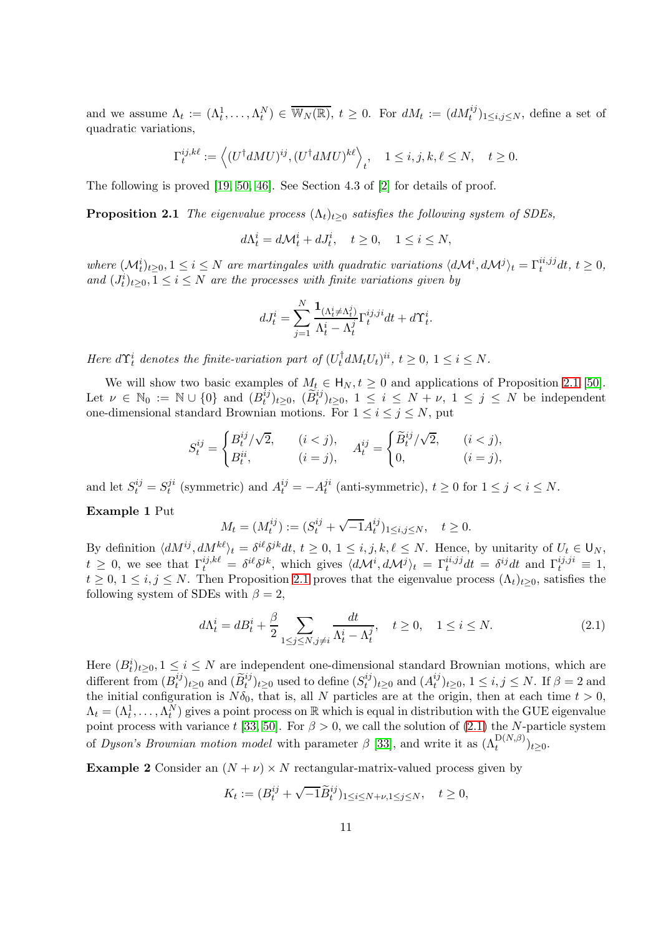and we assume  $\Lambda_t := (\Lambda_t^1, \ldots, \Lambda_t^N) \in \overline{\mathbb{W}_N(\mathbb{R})}$ ,  $t \geq 0$ . For  $dM_t := (dM_t^{ij})_{1 \leq i,j \leq N}$ , define a set of quadratic variations,

$$
\Gamma^{ij,k\ell}_t:=\Big\langle (U^\dagger dMU)^{ij}, (U^\dagger dMU)^{k\ell} \Big\rangle_t, \quad 1\leq i,j,k,\ell\leq N, \quad t\geq 0.
$$

<span id="page-10-1"></span>The following is proved [\[19,](#page-21-0) [50,](#page-23-2) [46\]](#page-22-2). See Section 4.3 of [\[2\]](#page-20-0) for details of proof.

**Proposition 2.1** *The eigenvalue process*  $(\Lambda_t)_{t>0}$  *satisfies the following system of SDEs,* 

 $d\Lambda_t^i = d\mathcal{M}_t^i + dJ_t^i, \quad t \geq 0, \quad 1 \leq i \leq N,$ 

 $where \ (\mathcal{M}_t^i)_{t \geq 0}, 1 \leq i \leq N \ \text{are martingales with quadratic variations } \langle d\mathcal{M}^i, d\mathcal{M}^j \rangle_t = \Gamma_t^{ii, jj} dt, t \geq 0,$ and  $(J_t^i)_{t \geq 0}, 1 \leq i \leq N$  *are the processes with finite variations given by* 

$$
dJ_t^i = \sum_{j=1}^N \frac{\mathbf{1}_{(\Lambda_t^i \neq \Lambda_t^j)}{\Lambda_t^i - \Lambda_t^j} \Gamma_t^{ij,ji} dt + d\Upsilon_t^i.
$$

*Here*  $d\Upsilon_t^i$  denotes the finite-variation part of  $(U_t^{\dagger} dM_t U_t)^{ii}$ ,  $t \geq 0$ ,  $1 \leq i \leq N$ .

We will show two basic examples of  $M_t \in H_N, t \geq 0$  and applications of Proposition [2.1](#page-10-1) [\[50\]](#page-23-2). Let  $\nu \in \mathbb{N}_0 := \mathbb{N} \cup \{0\}$  and  $(B_t^{ij})$  $(t_i^{ij})_{t\geq 0}, \; (\widetilde{B}_t^{ij})_{t\geq 0}, \; 1 \leq i \leq N + \nu, \; 1 \leq j \leq N$  be independent one-dimensional standard Brownian motions. For  $1 \leq i \leq j \leq N$ , put

$$
S_t^{ij} = \begin{cases} B_t^{ij}/\sqrt{2}, & (i < j), \\ B_t^{ii}, & (i = j), \end{cases} \quad A_t^{ij} = \begin{cases} \widetilde{B}_t^{ij}/\sqrt{2}, & (i < j), \\ 0, & (i = j), \end{cases}
$$

and let  $S_t^{ij} = S_t^{ji}$  $t_i^{ji}$  (symmetric) and  $A_t^{ij} = -A_t^{ji}$  $t_i^u$  (anti-symmetric),  $t \geq 0$  for  $1 \leq j < i \leq N$ . Example 1 Put

$$
M_t = (M_t^{ij}) := (S_t^{ij} + \sqrt{-1}A_t^{ij})_{1 \le i,j \le N}, \quad t \ge 0.
$$

By definition  $\langle dM^{ij}, dM^{k\ell} \rangle_t = \delta^{i\ell} \delta^{jk} dt, t \ge 0, 1 \le i, j, k, \ell \le N$ . Hence, by unitarity of  $U_t \in \mathsf{U}_N$ ,  $t \geq 0$ , we see that  $\Gamma_t^{ij, k\ell} = \delta^{i\ell} \delta^{jk}$ , which gives  $\langle d\mathcal{M}^i, d\mathcal{M}^j \rangle_t = \Gamma_t^{ii, jj} dt = \delta^{ij} dt$  and  $\Gamma_t^{ij, ji} \equiv 1$ ,  $t \geq 0, 1 \leq i, j \leq N$ . Then Proposition [2.1](#page-10-1) proves that the eigenvalue process  $(\Lambda_t)_{t>0}$ , satisfies the following system of SDEs with  $\beta = 2$ ,

<span id="page-10-0"></span>
$$
d\Lambda_t^i = dB_t^i + \frac{\beta}{2} \sum_{1 \le j \le N, j \ne i} \frac{dt}{\Lambda_t^i - \Lambda_t^j}, \quad t \ge 0, \quad 1 \le i \le N. \tag{2.1}
$$

Here  $(B_t^i)_{t\geq0}$ ,  $1\leq i\leq N$  are independent one-dimensional standard Brownian motions, which are different from  $(B_t^{ij})$  $(t^{ij}_t)_{t\geq 0}$  and  $(\widetilde{B}^{ij}_t)_{t\geq 0}$  used to define  $(S^{ij}_t)$  $(t^{ij}_t)_{t\geq 0}$  and  $(A_t^{ij})$  $_{t}^{ij}|_{t\geq0}, 1\leq i,j\leq N.$  If  $\beta=2$  and the initial configuration is  $N\delta_0$ , that is, all N particles are at the origin, then at each time  $t > 0$ ,  $\Lambda_t = (\Lambda_t^1, \ldots, \Lambda_t^N)$  gives a point process on R which is equal in distribution with the GUE eigenvalue point process with variance t [\[33,](#page-22-1) [50\]](#page-23-2). For  $\beta > 0$ , we call the solution of [\(2.1\)](#page-10-0) the N-particle system of *Dyson's Brownian motion model* with parameter  $\beta$  [\[33\]](#page-22-1), and write it as  $(\Lambda_t^{\mathcal{D}(N,\beta)})_{t\geq 0}$ .

**Example 2** Consider an  $(N + \nu) \times N$  rectangular-matrix-valued process given by

$$
K_t:=(B^{ij}_t+\sqrt{-1}\widetilde{B}^{ij}_t)_{1\leq i\leq N+\nu,1\leq j\leq N},\quad t\geq 0,
$$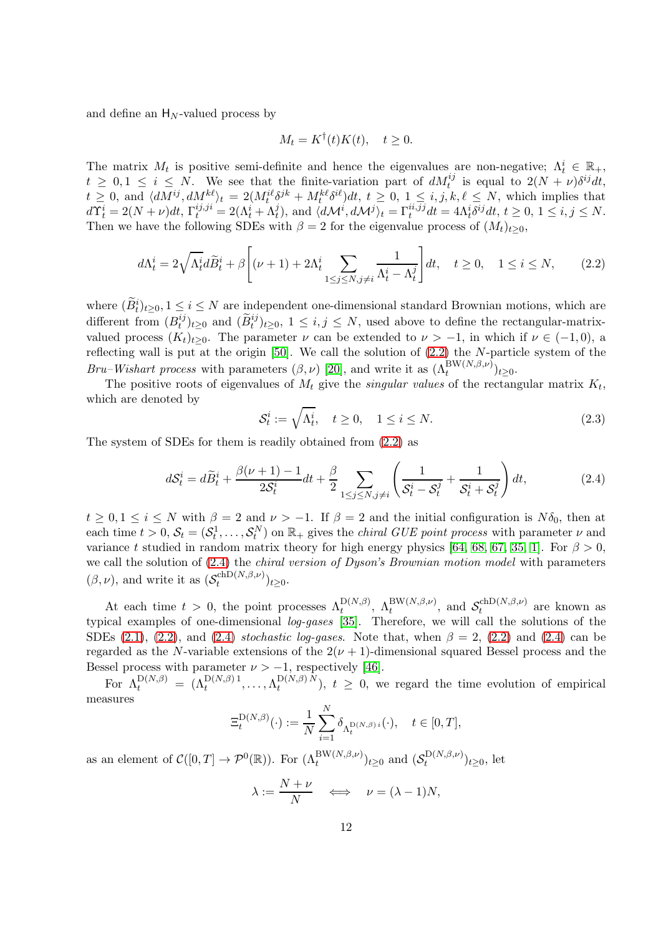and define an  $H_N$ -valued process by

$$
M_t = K^{\dagger}(t)K(t), \quad t \ge 0.
$$

The matrix  $M_t$  is positive semi-definite and hence the eigenvalues are non-negative;  $\Lambda_t^i \in \mathbb{R}_+$ ,  $t \geq 0, 1 \leq i \leq N$ . We see that the finite-variation part of  $dM_t^{ij}$  is equal to  $2(N+\nu)\delta^{ij}dt$ ,  $t \geq 0$ , and  $\langle dM^{ij}, dM^{k\ell} \rangle_t = 2(M_t^{i\ell} \delta^{jk} + M_t^{k\ell} \delta^{i\ell})dt$ ,  $t \geq 0$ ,  $1 \leq i, j, k, \ell \leq N$ , which implies that  $d\Upsilon_t^i = 2(N+\nu)dt, \Gamma_t^{ij,ji} = 2(\Lambda_t^i + \Lambda_t^j), \text{ and } \langle d\mathcal{M}^i, d\mathcal{M}^j \rangle_t = \Gamma_t^{ii,jj}dt = 4\Lambda_t^i \delta^{ij}dt, t \geq 0, 1 \leq i, j \leq N.$ Then we have the following SDEs with  $\beta = 2$  for the eigenvalue process of  $(M_t)_{t>0}$ ,

<span id="page-11-1"></span>
$$
d\Lambda_t^i = 2\sqrt{\Lambda_t^i} d\widetilde{B}_t^i + \beta \left[ (\nu + 1) + 2\Lambda_t^i \sum_{1 \le j \le N, j \ne i} \frac{1}{\Lambda_t^i - \Lambda_t^j} \right] dt, \quad t \ge 0, \quad 1 \le i \le N,
$$
 (2.2)

where  $(B_t^i)_{t\geq0}$ ,  $1\leq i\leq N$  are independent one-dimensional standard Brownian motions, which are different from  $(B_t^{ij})$  $(t^{ij})_{t\geq0}$  and  $(\widetilde{B}^{ij}_t)_{t\geq0}$ ,  $1 ≤ i, j ≤ N$ , used above to define the rectangular-matrixvalued process  $(K_t)_{t>0}$ . The parameter  $\nu$  can be extended to  $\nu > -1$ , in which if  $\nu \in (-1,0)$ , a reflecting wall is put at the origin [\[50\]](#page-23-2). We call the solution of [\(2.2\)](#page-11-1) the N-particle system of the *Bru–Wishart process* with parameters  $(\beta, \nu)$  [\[20\]](#page-21-1), and write it as  $(\Lambda_t^{\text{BW}(N,\beta,\nu)})_{t\geq 0}$ .

The positive roots of eigenvalues of  $M_t$  give the *singular values* of the rectangular matrix  $K_t$ , which are denoted by

<span id="page-11-2"></span>
$$
\mathcal{S}_t^i := \sqrt{\Lambda_t^i}, \quad t \ge 0, \quad 1 \le i \le N. \tag{2.3}
$$

The system of SDEs for them is readily obtained from [\(2.2\)](#page-11-1) as

<span id="page-11-0"></span>
$$
dS_t^i = d\widetilde{B}_t^i + \frac{\beta(\nu+1) - 1}{2S_t^i} dt + \frac{\beta}{2} \sum_{1 \le j \le N, j \ne i} \left( \frac{1}{S_t^i - S_t^j} + \frac{1}{S_t^i + S_t^j} \right) dt,\tag{2.4}
$$

 $t \geq 0, 1 \leq i \leq N$  with  $\beta = 2$  and  $\nu > -1$ . If  $\beta = 2$  and the initial configuration is  $N\delta_0$ , then at each time  $t > 0$ ,  $S_t = (S_t^1, \ldots, S_t^N)$  on  $\mathbb{R}_+$  gives the *chiral GUE point process* with parameter  $\nu$  and variance t studied in random matrix theory for high energy physics [\[64,](#page-23-9) [68,](#page-24-2) [67,](#page-23-10) [35,](#page-22-0) [1\]](#page-20-1). For  $\beta > 0$ , we call the solution of [\(2.4\)](#page-11-0) the *chiral version of Dyson's Brownian motion model* with parameters  $(\beta, \nu)$ , and write it as  $(\mathcal{S}_t^{\text{chD}(N,\beta,\nu)})$  $\binom{t}{t}$ <sub>t</sub>  $\sum_{\nu\geq 0}$ .

At each time  $t > 0$ , the point processes  $\Lambda_t^{\mathcal{D}(N,\beta)}$ ,  $\Lambda_t^{\mathcal{BW}(N,\beta,\nu)}$ , and  $\mathcal{S}_t^{\text{chD}(N,\beta,\nu)}$  $t^{c(n,\rho,\nu)}$  are known as typical examples of one-dimensional *log-gases* [\[35\]](#page-22-0). Therefore, we will call the solutions of the SDEs [\(2.1\)](#page-10-0), [\(2.2\)](#page-11-1), and [\(2.4\)](#page-11-0) *stochastic log-gases*. Note that, when  $\beta = 2$ , (2.2) and (2.4) can be regarded as the N-variable extensions of the  $2(\nu + 1)$ -dimensional squared Bessel process and the Bessel process with parameter  $\nu > -1$ , respectively [\[46\]](#page-22-2).

For  $\Lambda_t^{\mathrm{D}(N,\beta)} \;=\; (\Lambda_t^{\mathrm{D}(N,\beta)\,1}, \ldots, \Lambda_t^{\mathrm{D}(N,\beta)\,N})$  $t^{D(N,\beta)N}$ ,  $t \geq 0$ , we regard the time evolution of empirical measures

$$
\Xi_t^{\mathcal{D}(N,\beta)}(\cdot) := \frac{1}{N} \sum_{i=1}^N \delta_{\Lambda_t^{\mathcal{D}(N,\beta)i}}(\cdot), \quad t \in [0,T],
$$

as an element of  $C([0,T] \to \mathcal{P}^0(\mathbb{R}))$ . For  $(\Lambda_t^{\text{BW}(N,\beta,\nu)})_{t\geq 0}$  and  $(\mathcal{S}_t^{\text{D}(N,\beta,\nu)})$  $(t^{(N,\rho,\nu)})_{t\geq 0}$ , let

$$
\lambda := \frac{N + \nu}{N} \quad \Longleftrightarrow \quad \nu = (\lambda - 1)N,
$$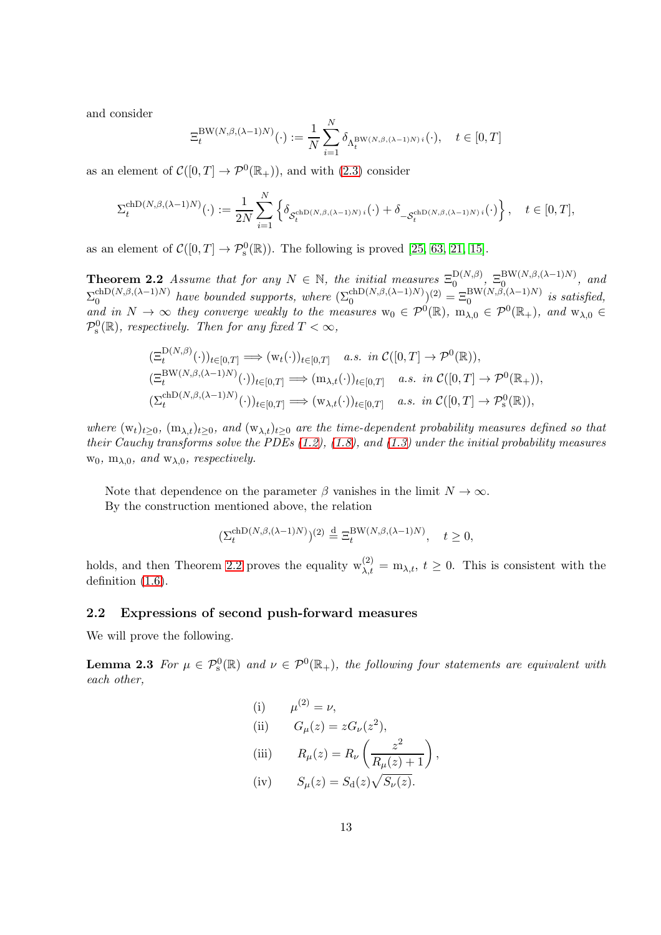and consider

<span id="page-12-0"></span>
$$
\Xi_t^{\mathrm{BW}(N,\beta,(\lambda-1)N)}(\cdot) := \frac{1}{N} \sum_{i=1}^N \delta_{\Lambda_t^{\mathrm{BW}(N,\beta,(\lambda-1)N)i}}(\cdot), \quad t \in [0,T]
$$

as an element of  $C([0, T] \to \mathcal{P}^0(\mathbb{R}_+))$ , and with  $(2.3)$  consider

$$
\Sigma_t^{\text{chD}(N,\beta,(\lambda-1)N)}(\cdot) := \frac{1}{2N} \sum_{i=1}^N \left\{ \delta_{\mathcal{S}_t^{\text{chD}(N,\beta,(\lambda-1)N)i}}(\cdot) + \delta_{-\mathcal{S}_t^{\text{chD}(N,\beta,(\lambda-1)N)i}}(\cdot) \right\}, \quad t \in [0,T],
$$

as an element of  $C([0, T] \to \mathcal{P}_s^0(\mathbb{R}))$ . The following is proved [\[25,](#page-21-11) [63,](#page-23-5) [21,](#page-21-5) [15\]](#page-21-3).

**Theorem 2.2** *Assume that for any*  $N \in \mathbb{N}$ , the *initial measures*  $\Xi_0^{\text{D}(N,\beta)}$  $\mathcal{D}(N,\beta)$   $\equiv 0 \mathcal{D}(N,\beta,(\lambda-1)N)$ , and  $\Sigma_0^{\text{chD}(N,\beta,(\lambda-1)N)}$  have bounded supports, where  $(\Sigma_0^{\text{chD}(N,\beta,(\lambda-1)N)})$ <sup>(2)</sup> =  $\Xi_0^{\text{BW}(N,\beta,(\lambda-1)N)}$  is satisfied, and in  $N \to \infty$  they converge weakly to the measures  $w_0 \in \mathcal{P}^0(\mathbb{R})$ ,  $m_{\lambda,0} \in \mathcal{P}^0(\mathbb{R}_+)$ , and  $w_{\lambda,0} \in$  $\mathcal{P}_s^0(\mathbb{R})$ *, respectively. Then for any fixed*  $T < \infty$ *,* 

$$
\begin{aligned} & (\Xi_t^{\mathcal{D}(N,\beta)}(\cdot))_{t\in[0,T]} \Longrightarrow (\mathbf{w}_t(\cdot))_{t\in[0,T]} \quad a.s. \quad \text{in } \mathcal{C}([0,T] \to \mathcal{P}^0(\mathbb{R})),\\ & (\Xi_t^{\mathcal{BW}(N,\beta,(\lambda-1)N)}(\cdot))_{t\in[0,T]} \Longrightarrow (\mathbf{m}_{\lambda,t}(\cdot))_{t\in[0,T]} \quad a.s. \quad \text{in } \mathcal{C}([0,T] \to \mathcal{P}^0(\mathbb{R}_+)),\\ & (\Sigma_t^{\text{chD}(N,\beta,(\lambda-1)N)}(\cdot))_{t\in[0,T]} \Longrightarrow (\mathbf{w}_{\lambda,t}(\cdot))_{t\in[0,T]} \quad a.s. \quad \text{in } \mathcal{C}([0,T] \to \mathcal{P}_s^0(\mathbb{R})),\end{aligned}
$$

*where*  $(w_t)_{t\geq 0}$ ,  $(m_{\lambda,t})_{t\geq 0}$ , and  $(w_{\lambda,t})_{t\geq 0}$  are the time-dependent probability measures defined so that *their Cauchy transforms solve the PDEs [\(1.2\)](#page-1-0), [\(1.8\)](#page-1-4), and [\(1.3\)](#page-1-1) under the initial probability measures*  $w_0$ ,  $m_{\lambda,0}$ *, and*  $w_{\lambda,0}$ *, respectively.* 

Note that dependence on the parameter  $\beta$  vanishes in the limit  $N \to \infty$ . By the construction mentioned above, the relation

$$
\left(\Sigma_t^{\text{chD}(N,\beta,(\lambda-1)N)}\right)^{(2)} \stackrel{\text{d}}{=} \Xi_t^{\text{BW}(N,\beta,(\lambda-1)N)}, \quad t \ge 0,
$$

holds, and then Theorem [2.2](#page-12-0) proves the equality  $w_{\lambda,t}^{(2)} = m_{\lambda,t}$ ,  $t \ge 0$ . This is consistent with the definition [\(1.6\)](#page-1-3).

#### 2.2 Expressions of second push-forward measures

We will prove the following.

**Lemma 2.3** For  $\mu \in \mathcal{P}_s^0(\mathbb{R})$  and  $\nu \in \mathcal{P}^0(\mathbb{R}_+)$ , the following four statements are equivalent with *each other,*

<span id="page-12-1"></span>(i) 
$$
\mu^{(2)} = \nu
$$
,  
\n(ii)  $G_{\mu}(z) = zG_{\nu}(z^{2})$ ,  
\n(iii)  $R_{\mu}(z) = R_{\nu} \left( \frac{z^{2}}{R_{\mu}(z) + 1} \right)$   
\n(iv)  $S_{\mu}(z) = S_{d}(z) \sqrt{S_{\nu}(z)}$ .

,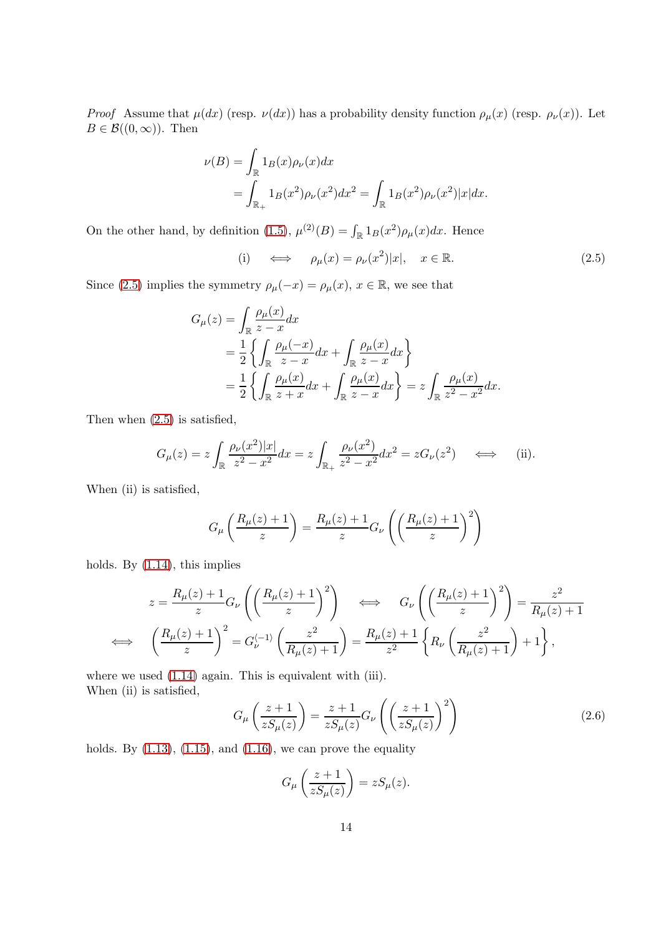*Proof* Assume that  $\mu(dx)$  (resp.  $\nu(dx)$ ) has a probability density function  $\rho_{\mu}(x)$  (resp.  $\rho_{\nu}(x)$ ). Let  $B \in \mathcal{B}((0,\infty))$ . Then

$$
\nu(B) = \int_{\mathbb{R}} 1_B(x)\rho_{\nu}(x)dx
$$
  
= 
$$
\int_{\mathbb{R}_+} 1_B(x^2)\rho_{\nu}(x^2)dx^2 = \int_{\mathbb{R}} 1_B(x^2)\rho_{\nu}(x^2)|x|dx.
$$

On the other hand, by definition [\(1.5\)](#page-1-6),  $\mu^{(2)}(B) = \int_{\mathbb{R}} 1_B(x^2) \rho_\mu(x) dx$ . Hence

<span id="page-13-0"></span>(i) 
$$
\iff
$$
  $\rho_{\mu}(x) = \rho_{\nu}(x^2)|x|, \quad x \in \mathbb{R}.$  (2.5)

Since [\(2.5\)](#page-13-0) implies the symmetry  $\rho_{\mu}(-x) = \rho_{\mu}(x), x \in \mathbb{R}$ , we see that

$$
G_{\mu}(z) = \int_{\mathbb{R}} \frac{\rho_{\mu}(x)}{z - x} dx
$$
  
=  $\frac{1}{2} \left\{ \int_{\mathbb{R}} \frac{\rho_{\mu}(-x)}{z - x} dx + \int_{\mathbb{R}} \frac{\rho_{\mu}(x)}{z - x} dx \right\}$   
=  $\frac{1}{2} \left\{ \int_{\mathbb{R}} \frac{\rho_{\mu}(x)}{z + x} dx + \int_{\mathbb{R}} \frac{\rho_{\mu}(x)}{z - x} dx \right\} = z \int_{\mathbb{R}} \frac{\rho_{\mu}(x)}{z^{2} - x^{2}} dx.$ 

Then when [\(2.5\)](#page-13-0) is satisfied,

$$
G_{\mu}(z) = z \int_{\mathbb{R}} \frac{\rho_{\nu}(x^2)|x|}{z^2 - x^2} dx = z \int_{\mathbb{R}_{+}} \frac{\rho_{\nu}(x^2)}{z^2 - x^2} dx^2 = z G_{\nu}(z^2) \quad \Longleftrightarrow \quad \text{(ii)}.
$$

When (ii) is satisfied,

$$
G_{\mu}\left(\frac{R_{\mu}(z)+1}{z}\right) = \frac{R_{\mu}(z)+1}{z}G_{\nu}\left(\left(\frac{R_{\mu}(z)+1}{z}\right)^2\right)
$$

holds. By [\(1.14\)](#page-3-2), this implies

$$
z = \frac{R_{\mu}(z) + 1}{z} G_{\nu} \left( \left( \frac{R_{\mu}(z) + 1}{z} \right)^2 \right) \iff G_{\nu} \left( \left( \frac{R_{\mu}(z) + 1}{z} \right)^2 \right) = \frac{z^2}{R_{\mu}(z) + 1}
$$
  

$$
\iff \left( \frac{R_{\mu}(z) + 1}{z} \right)^2 = G_{\nu}^{(-1)} \left( \frac{z^2}{R_{\mu}(z) + 1} \right) = \frac{R_{\mu}(z) + 1}{z^2} \left\{ R_{\nu} \left( \frac{z^2}{R_{\mu}(z) + 1} \right) + 1 \right\},
$$

where we used  $(1.14)$  again. This is equivalent with (iii). When (ii) is satisfied,

<span id="page-13-1"></span>
$$
G_{\mu}\left(\frac{z+1}{zS_{\mu}(z)}\right) = \frac{z+1}{zS_{\mu}(z)}G_{\nu}\left(\left(\frac{z+1}{zS_{\mu}(z)}\right)^{2}\right)
$$
(2.6)

holds. By  $(1.13)$ ,  $(1.15)$ , and  $(1.16)$ , we can prove the equality

$$
G_{\mu}\left(\frac{z+1}{zS_{\mu}(z)}\right) = zS_{\mu}(z).
$$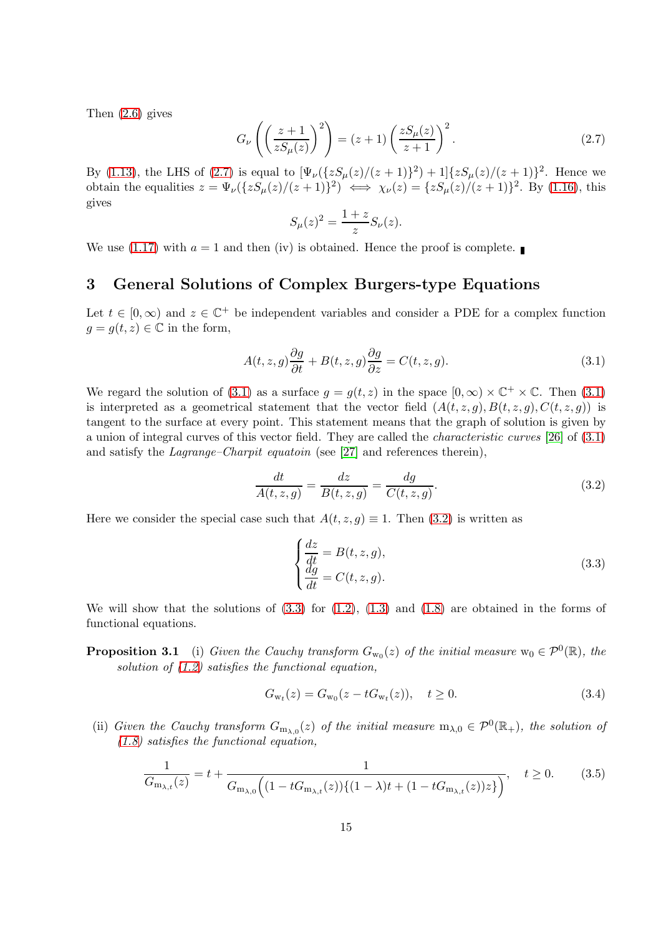Then [\(2.6\)](#page-13-1) gives

<span id="page-14-3"></span>
$$
G_{\nu}\left(\left(\frac{z+1}{zS_{\mu}(z)}\right)^2\right) = (z+1)\left(\frac{zS_{\mu}(z)}{z+1}\right)^2.
$$
\n(2.7)

By [\(1.13\)](#page-3-1), the LHS of [\(2.7\)](#page-14-3) is equal to  $[\Psi_{\nu}({zS_{\mu}(z)/(z+1)})^2) + 1]{zS_{\mu}(z)/(z+1)}^2$ . Hence we obtain the equalities  $z = \Psi_{\nu}(\{zS_{\mu}(z)/(z+1)\}^2) \iff \chi_{\nu}(z) = \{zS_{\mu}(z)/(z+1)\}^2$ . By [\(1.16\)](#page-4-1), this gives

$$
S_{\mu}(z)^2 = \frac{1+z}{z} S_{\nu}(z).
$$

We use [\(1.17\)](#page-5-3) with  $a = 1$  and then (iv) is obtained. Hence the proof is complete.

# <span id="page-14-2"></span>3 General Solutions of Complex Burgers-type Equations

Let  $t \in [0, \infty)$  and  $z \in \mathbb{C}^+$  be independent variables and consider a PDE for a complex function  $g = g(t, z) \in \mathbb{C}$  in the form,

<span id="page-14-4"></span>
$$
A(t, z, g)\frac{\partial g}{\partial t} + B(t, z, g)\frac{\partial g}{\partial z} = C(t, z, g). \tag{3.1}
$$

We regard the solution of [\(3.1\)](#page-14-4) as a surface  $g = g(t, z)$  in the space  $[0, \infty) \times \mathbb{C}^+ \times \mathbb{C}$ . Then (3.1) is interpreted as a geometrical statement that the vector field  $(A(t, z, g), B(t, z, g), C(t, z, g))$  is tangent to the surface at every point. This statement means that the graph of solution is given by a union of integral curves of this vector field. They are called the *characteristic curves* [\[26\]](#page-21-9) of [\(3.1\)](#page-14-4) and satisfy the *Lagrange–Charpit equatoin* (see [\[27\]](#page-21-10) and references therein),

<span id="page-14-5"></span>
$$
\frac{dt}{A(t,z,g)} = \frac{dz}{B(t,z,g)} = \frac{dg}{C(t,z,g)}.\tag{3.2}
$$

Here we consider the special case such that  $A(t, z, q) \equiv 1$ . Then [\(3.2\)](#page-14-5) is written as

<span id="page-14-6"></span>
$$
\begin{cases}\n\frac{dz}{dt} = B(t, z, g), \n\frac{dg}{dt} = C(t, z, g).\n\end{cases}
$$
\n(3.3)

<span id="page-14-0"></span>We will show that the solutions of  $(3.3)$  for  $(1.2)$ ,  $(1.3)$  and  $(1.8)$  are obtained in the forms of functional equations.

**Proposition 3.1** (i) *Given the Cauchy transform*  $G_{w_0}(z)$  *of the initial measure*  $w_0 \in \mathcal{P}^0(\mathbb{R})$ *, the solution of [\(1.2\)](#page-1-0) satisfies the functional equation,*

<span id="page-14-1"></span>
$$
G_{w_t}(z) = G_{w_0}(z - tG_{w_t}(z)), \quad t \ge 0.
$$
\n(3.4)

(ii) *Given the Cauchy transform*  $G_{m_{\lambda,0}}(z)$  *of the initial measure*  $m_{\lambda,0} \in \mathcal{P}^0(\mathbb{R}_+)$ *, the solution of [\(1.8\)](#page-1-4) satisfies the functional equation,*

<span id="page-14-7"></span>
$$
\frac{1}{G_{\mathbf{m}_{\lambda,t}}(z)} = t + \frac{1}{G_{\mathbf{m}_{\lambda,0}}\Big((1 - tG_{\mathbf{m}_{\lambda,t}}(z))\{(1 - \lambda)t + (1 - tG_{\mathbf{m}_{\lambda,t}}(z))z\}\Big)}, \quad t \ge 0. \tag{3.5}
$$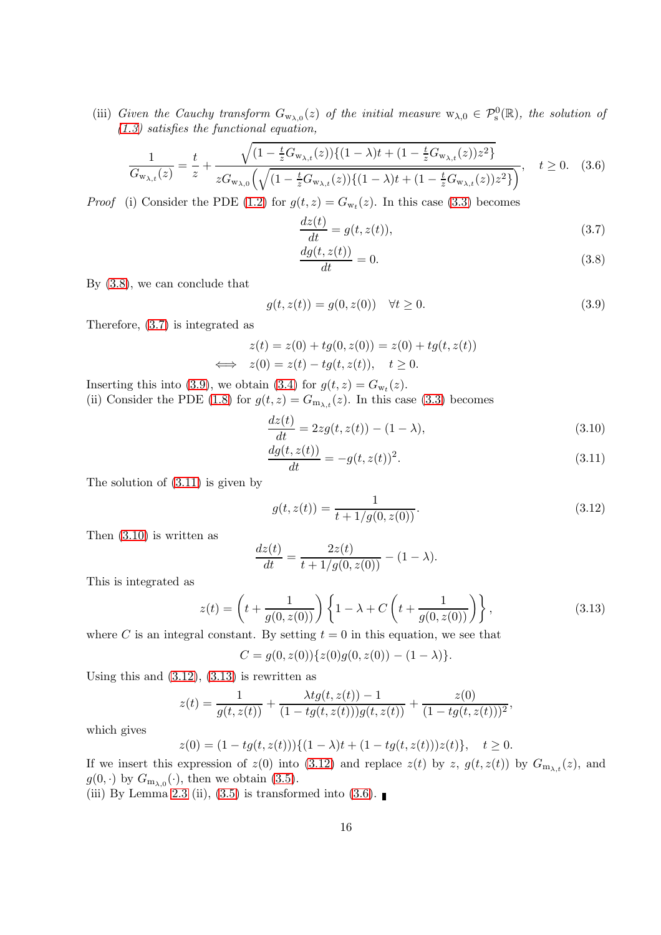(iii) Given the Cauchy transform  $G_{w_{\lambda,0}}(z)$  of the initial measure  $w_{\lambda,0} \in \mathcal{P}_s^0(\mathbb{R})$ , the solution of *[\(1.3\)](#page-1-1) satisfies the functional equation,*

$$
\frac{1}{G_{\mathbf{w}_{\lambda,t}}(z)} = \frac{t}{z} + \frac{\sqrt{(1 - \frac{t}{z}G_{\mathbf{w}_{\lambda,t}}(z))\{(1 - \lambda)t + (1 - \frac{t}{z}G_{\mathbf{w}_{\lambda,t}}(z))z^2\}}}{zG_{\mathbf{w}_{\lambda,0}}\left(\sqrt{(1 - \frac{t}{z}G_{\mathbf{w}_{\lambda,t}}(z))\{(1 - \lambda)t + (1 - \frac{t}{z}G_{\mathbf{w}_{\lambda,t}}(z))z^2\}}\right)}, \quad t \ge 0. \quad (3.6)
$$

*Proof* (i) Consider the PDE [\(1.2\)](#page-1-0) for  $g(t, z) = G_{w_t}(z)$ . In this case [\(3.3\)](#page-14-6) becomes

<span id="page-15-7"></span>
$$
\frac{dz(t)}{dt} = g(t, z(t)),\tag{3.7}
$$

<span id="page-15-1"></span><span id="page-15-0"></span>
$$
\frac{dg(t, z(t))}{dt} = 0.\t\t(3.8)
$$

By [\(3.8\)](#page-15-0), we can conclude that

<span id="page-15-2"></span>
$$
g(t, z(t)) = g(0, z(0)) \quad \forall t \ge 0.
$$
\n(3.9)

Therefore, [\(3.7\)](#page-15-1) is integrated as

$$
z(t) = z(0) + tg(0, z(0)) = z(0) + tg(t, z(t))
$$
  

$$
\iff z(0) = z(t) - tg(t, z(t)), \quad t \ge 0.
$$

Inserting this into [\(3.9\)](#page-15-2), we obtain [\(3.4\)](#page-14-1) for  $g(t, z) = G_{w_t}(z)$ . (ii) Consider the PDE [\(1.8\)](#page-1-4) for  $g(t, z) = G_{m_{\lambda,t}}(z)$ . In this case [\(3.3\)](#page-14-6) becomes

<span id="page-15-4"></span>
$$
\frac{dz(t)}{dt} = 2zg(t, z(t)) - (1 - \lambda),\tag{3.10}
$$

$$
\frac{dg(t, z(t))}{dt} = -g(t, z(t))^{2}.
$$
\n(3.11)

The solution of [\(3.11\)](#page-15-3) is given by

<span id="page-15-5"></span><span id="page-15-3"></span>
$$
g(t, z(t)) = \frac{1}{t + 1/g(0, z(0))}.
$$
\n(3.12)

Then [\(3.10\)](#page-15-4) is written as

$$
\frac{dz(t)}{dt} = \frac{2z(t)}{t + 1/g(0, z(0))} - (1 - \lambda).
$$

This is integrated as

<span id="page-15-6"></span>
$$
z(t) = \left(t + \frac{1}{g(0, z(0))}\right) \left\{1 - \lambda + C\left(t + \frac{1}{g(0, z(0))}\right)\right\},\tag{3.13}
$$

where C is an integral constant. By setting  $t = 0$  in this equation, we see that

$$
C = g(0, z(0))\{z(0)g(0, z(0)) - (1 - \lambda)\}.
$$

Using this and  $(3.12)$ ,  $(3.13)$  is rewritten as

$$
z(t) = \frac{1}{g(t, z(t))} + \frac{\lambda t g(t, z(t)) - 1}{(1 - t g(t, z(t)))g(t, z(t))} + \frac{z(0)}{(1 - t g(t, z(t)))^2},
$$

which gives

$$
z(0) = (1 - tg(t, z(t)))\{(1 - \lambda)t + (1 - tg(t, z(t)))z(t)\}, \quad t \ge 0.
$$

If we insert this expression of  $z(0)$  into [\(3.12\)](#page-15-5) and replace  $z(t)$  by z,  $g(t, z(t))$  by  $G_{m_{\lambda,t}}(z)$ , and  $g(0, \cdot)$  by  $G_{m_{\lambda,0}}(\cdot)$ , then we obtain [\(3.5\)](#page-14-7).

(iii) By Lemma [2.3](#page-12-1) (ii), [\(3.5\)](#page-14-7) is transformed into [\(3.6\)](#page-15-7).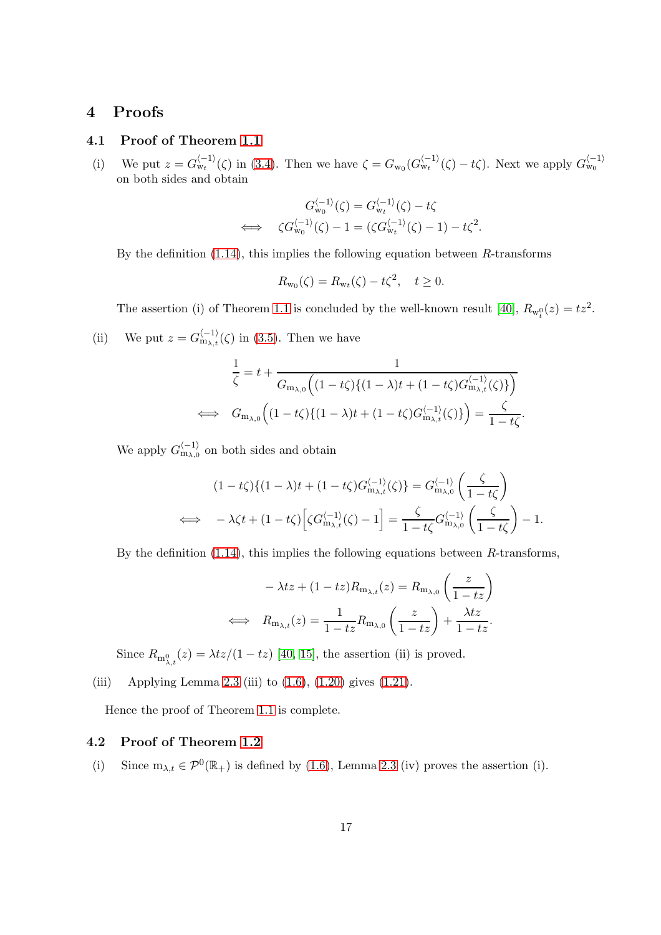# <span id="page-16-1"></span><span id="page-16-0"></span>4 Proofs

# 4.1 Proof of Theorem [1.1](#page-5-0)

(i) We put  $z = G_{\rm wt}^{(-1)}(\zeta)$  in [\(3.4\)](#page-14-1). Then we have  $\zeta = G_{\rm w_0}(G_{\rm wt}^{(-1)}(\zeta) - t\zeta)$ . Next we apply  $G_{\rm w_0}^{(-1)}$ on both sides and obtain

$$
G_{w_0}^{\langle -1 \rangle}(\zeta) = G_{w_t}^{\langle -1 \rangle}(\zeta) - t\zeta
$$
  

$$
\iff \zeta G_{w_0}^{\langle -1 \rangle}(\zeta) - 1 = (\zeta G_{w_t}^{\langle -1 \rangle}(\zeta) - 1) - t\zeta^2.
$$

By the definition  $(1.14)$ , this implies the following equation between R-transforms

$$
R_{w_0}(\zeta) = R_{w_t}(\zeta) - t\zeta^2, \quad t \ge 0.
$$

The assertion (i) of Theorem [1.1](#page-5-0) is concluded by the well-known result [\[40\]](#page-22-7),  $R_{w_t^0}(z) = tz^2$ .

(ii) We put 
$$
z = G_{m_{\lambda,t}}^{(-1)}(\zeta)
$$
 in (3.5). Then we have

$$
\frac{1}{\zeta} = t + \frac{1}{G_{\mathbf{m}_{\lambda,0}}\Big((1 - t\zeta)\{(1 - \lambda)t + (1 - t\zeta)G_{\mathbf{m}_{\lambda,t}}^{(-1)}(\zeta)\}\Big)}
$$
  

$$
\iff G_{\mathbf{m}_{\lambda,0}}\Big((1 - t\zeta)\{(1 - \lambda)t + (1 - t\zeta)G_{\mathbf{m}_{\lambda,t}}^{(-1)}(\zeta)\}\Big) = \frac{\zeta}{1 - t\zeta}.
$$

We apply  $G_{m_{\lambda,0}}^{\langle -1 \rangle}$  on both sides and obtain

$$
(1-t\zeta)\{(1-\lambda)t + (1-t\zeta)G_{\mathbf{m}_{\lambda,t}}^{\langle -1 \rangle}(\zeta)\} = G_{\mathbf{m}_{\lambda,0}}^{\langle -1 \rangle} \left(\frac{\zeta}{1-t\zeta}\right)
$$

$$
\iff -\lambda\zeta t + (1-t\zeta) \Big[ \zeta G_{\mathbf{m}_{\lambda,t}}^{\langle -1 \rangle}(\zeta) - 1 \Big] = \frac{\zeta}{1-t\zeta}G_{\mathbf{m}_{\lambda,0}}^{\langle -1 \rangle} \left(\frac{\zeta}{1-t\zeta}\right) - 1.
$$

By the definition [\(1.14\)](#page-3-2), this implies the following equations between R-transforms,

$$
-\lambda tz + (1 - tz)R_{m_{\lambda,t}}(z) = R_{m_{\lambda,0}}\left(\frac{z}{1 - tz}\right)
$$

$$
\iff R_{m_{\lambda,t}}(z) = \frac{1}{1 - tz}R_{m_{\lambda,0}}\left(\frac{z}{1 - tz}\right) + \frac{\lambda tz}{1 - tz}.
$$

Since  $R_{m_{\lambda,t}^0}(z) = \lambda tz/(1 - tz)$  [\[40,](#page-22-7) [15\]](#page-21-3), the assertion (ii) is proved.

(iii) Applying Lemma [2.3](#page-12-1) (iii) to  $(1.6)$ ,  $(1.20)$  gives  $(1.21)$ .

Hence the proof of Theorem [1.1](#page-5-0) is complete.

### 4.2 Proof of Theorem [1.2](#page-7-0)

(i) Since  $m_{\lambda,t} \in \mathcal{P}^0(\mathbb{R}_+)$  is defined by [\(1.6\)](#page-1-3), Lemma [2.3](#page-12-1) (iv) proves the assertion (i).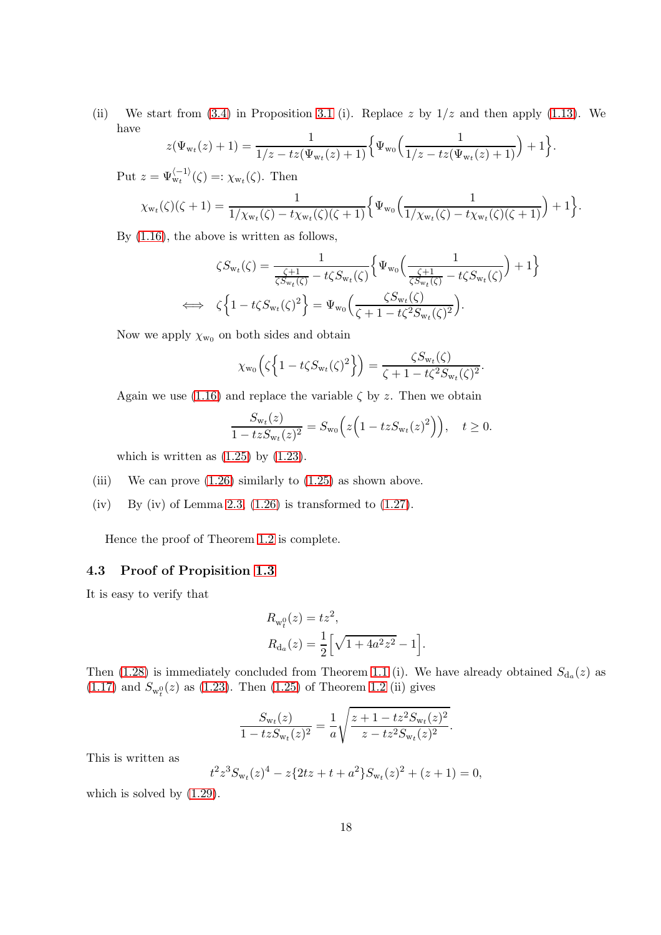(ii) We start from  $(3.4)$  in Proposition [3.1](#page-14-0) (i). Replace z by  $1/z$  and then apply  $(1.13)$ . We have

$$
z(\Psi_{\mathbf{w}_t}(z)+1) = \frac{1}{1/z - tz(\Psi_{\mathbf{w}_t}(z)+1)} \Big\{ \Psi_{\mathbf{w}_0} \Big( \frac{1}{1/z - tz(\Psi_{\mathbf{w}_t}(z)+1)} \Big) + 1 \Big\}.
$$

Put  $z = \Psi_{\mathrm{w}_t}^{\langle -1 \rangle}(\zeta) =: \chi_{\mathrm{w}_t}(\zeta)$ . Then

$$
\chi_{\mathbf{w}_t}(\zeta)(\zeta+1) = \frac{1}{1/\chi_{\mathbf{w}_t}(\zeta) - t\chi_{\mathbf{w}_t}(\zeta)(\zeta+1)} \Big\{ \Psi_{\mathbf{w}_0} \Big( \frac{1}{1/\chi_{\mathbf{w}_t}(\zeta) - t\chi_{\mathbf{w}_t}(\zeta)(\zeta+1)} \Big) + 1 \Big\}.
$$

By [\(1.16\)](#page-4-1), the above is written as follows,

$$
\zeta S_{\mathbf{w}_t}(\zeta) = \frac{1}{\frac{\zeta + 1}{\zeta S_{\mathbf{w}_t}(\zeta)} - t\zeta S_{\mathbf{w}_t}(\zeta)} \Big\{ \Psi_{\mathbf{w}_0} \Big( \frac{1}{\frac{\zeta + 1}{\zeta S_{\mathbf{w}_t}(\zeta)} - t\zeta S_{\mathbf{w}_t}(\zeta)} \Big) + 1 \Big\}
$$
  

$$
\iff \zeta \Big\{ 1 - t\zeta S_{\mathbf{w}_t}(\zeta)^2 \Big\} = \Psi_{\mathbf{w}_0} \Big( \frac{\zeta S_{\mathbf{w}_t}(\zeta)}{\zeta + 1 - t\zeta^2 S_{\mathbf{w}_t}(\zeta)^2} \Big).
$$

Now we apply  $\chi_{w_0}$  on both sides and obtain

$$
\chi_{\mathbf{w}_0}\left(\zeta\left\{1-t\zeta S_{\mathbf{w}_t}(\zeta)^2\right\}\right) = \frac{\zeta S_{\mathbf{w}_t}(\zeta)}{\zeta+1-t\zeta^2 S_{\mathbf{w}_t}(\zeta)^2}.
$$

Again we use [\(1.16\)](#page-4-1) and replace the variable  $\zeta$  by z. Then we obtain

$$
\frac{S_{\mathrm{w}_t}(z)}{1-tzS_{\mathrm{w}_t}(z)^2} = S_{\mathrm{w}_0}\Big(z\Big(1-tzS_{\mathrm{w}_t}(z)^2\Big)\Big), \quad t \ge 0.
$$

which is written as  $(1.25)$  by  $(1.23)$ .

- (iii) We can prove  $(1.26)$  similarly to  $(1.25)$  as shown above.
- (iv) By (iv) of Lemma [2.3,](#page-12-1)  $(1.26)$  is transformed to  $(1.27)$ .

Hence the proof of Theorem [1.2](#page-7-0) is complete.

## 4.3 Proof of Propisition [1.3](#page-8-0)

It is easy to verify that

$$
R_{w_t^0}(z) = tz^2,
$$
  
\n
$$
R_{d_a}(z) = \frac{1}{2} \left[ \sqrt{1 + 4a^2 z^2} - 1 \right].
$$

Then [\(1.28\)](#page-8-3) is immediately concluded from Theorem [1.1](#page-5-0) (i). We have already obtained  $S_{d_a}(z)$  as  $(1.17)$  and  $S_{w_t^0}(z)$  as  $(1.23)$ . Then  $(1.25)$  of Theorem [1.2](#page-7-0) (ii) gives

$$
\frac{S_{\mathrm{w}_t}(z)}{1-tzS_{\mathrm{w}_t}(z)^2} = \frac{1}{a} \sqrt{\frac{z+1-tz^2S_{\mathrm{w}_t}(z)^2}{z-tz^2S_{\mathrm{w}_t}(z)^2}}.
$$

This is written as

$$
t^{2}z^{3}S_{w_{t}}(z)^{4} - z\{2tz + t + a^{2}\}S_{w_{t}}(z)^{2} + (z+1) = 0,
$$

which is solved by  $(1.29)$ .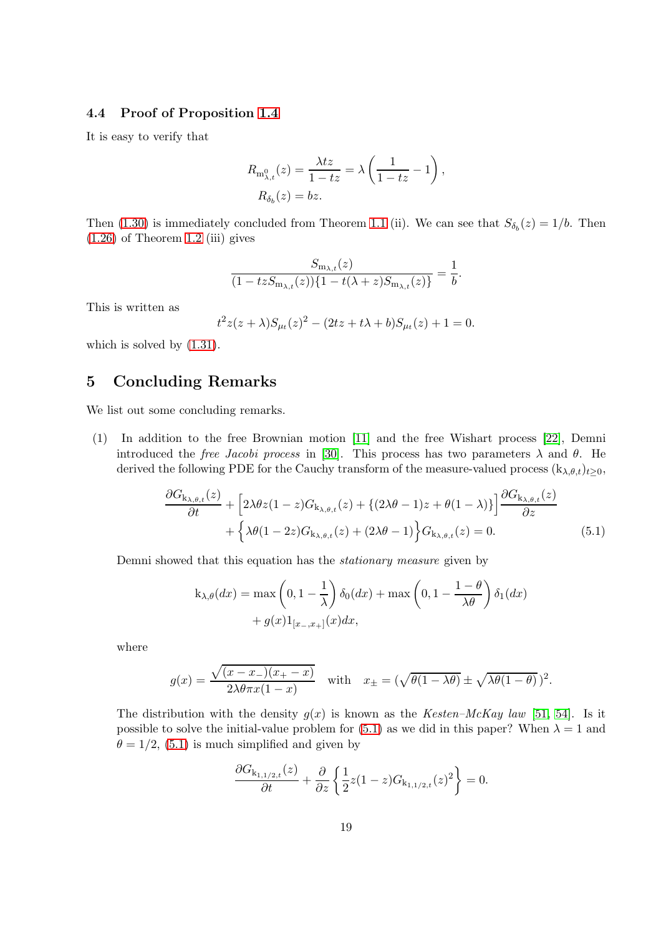#### 4.4 Proof of Proposition [1.4](#page-8-1)

It is easy to verify that

$$
R_{\mathbf{m}_{\lambda,t}^0}(z) = \frac{\lambda tz}{1 - tz} = \lambda \left( \frac{1}{1 - tz} - 1 \right),
$$
  

$$
R_{\delta_b}(z) = bz.
$$

Then [\(1.30\)](#page-9-3) is immediately concluded from Theorem [1.1](#page-5-0) (ii). We can see that  $S_{\delta_b}(z) = 1/b$ . Then  $(1.26)$  of Theorem [1.2](#page-7-0) (iii) gives

$$
\frac{S_{\mathbf{m}_{\lambda,t}}(z)}{(1-tzS_{\mathbf{m}_{\lambda,t}}(z))\{1-t(\lambda+z)S_{\mathbf{m}_{\lambda,t}}(z)\}}=\frac{1}{b}.
$$

This is written as

$$
t^{2}z(z+\lambda)S_{\mu_{t}}(z)^{2} - (2tz + t\lambda + b)S_{\mu_{t}}(z) + 1 = 0.
$$

which is solved by  $(1.31)$ .

# <span id="page-18-0"></span>5 Concluding Remarks

We list out some concluding remarks.

(1) In addition to the free Brownian motion [\[11\]](#page-20-3) and the free Wishart process [\[22\]](#page-21-8), Demni introduced the *free Jacobi process* in [\[30\]](#page-21-12). This process has two parameters  $\lambda$  and  $\theta$ . He derived the following PDE for the Cauchy transform of the measure-valued process  $(k_{\lambda,\theta,t})_{t\geq0}$ ,

$$
\frac{\partial G_{\mathbf{k}_{\lambda,\theta,t}}(z)}{\partial t} + \left[2\lambda\theta z(1-z)G_{\mathbf{k}_{\lambda,\theta,t}}(z) + \left\{(2\lambda\theta - 1)z + \theta(1-\lambda)\right\}\right] \frac{\partial G_{\mathbf{k}_{\lambda,\theta,t}}(z)}{\partial z} + \left\{\lambda\theta(1-2z)G_{\mathbf{k}_{\lambda,\theta,t}}(z) + (2\lambda\theta - 1)\right\} G_{\mathbf{k}_{\lambda,\theta,t}}(z) = 0.
$$
\n(5.1)

Demni showed that this equation has the *stationary measure* given by

<span id="page-18-1"></span>
$$
k_{\lambda,\theta}(dx) = \max\left(0,1-\frac{1}{\lambda}\right)\delta_0(dx) + \max\left(0,1-\frac{1-\theta}{\lambda\theta}\right)\delta_1(dx) + g(x)1_{[x_-,x_+]}(x)dx,
$$

where

$$
g(x) = \frac{\sqrt{(x - x_{-})(x_{+} - x)}}{2\lambda\theta\pi x(1 - x)}
$$
 with  $x_{\pm} = (\sqrt{\theta(1 - \lambda\theta)} \pm \sqrt{\lambda\theta(1 - \theta)})^2$ .

The distribution with the density  $g(x)$  is known as the *Kesten–McKay law* [\[51,](#page-23-14) [54\]](#page-23-15). Is it possible to solve the initial-value problem for [\(5.1\)](#page-18-1) as we did in this paper? When  $\lambda = 1$  and  $\theta = 1/2$ , [\(5.1\)](#page-18-1) is much simplified and given by

$$
\frac{\partial G_{\mathbf{k}_{1,1/2,t}}(z)}{\partial t} + \frac{\partial}{\partial z} \left\{ \frac{1}{2} z (1-z) G_{\mathbf{k}_{1,1/2,t}}(z)^2 \right\} = 0.
$$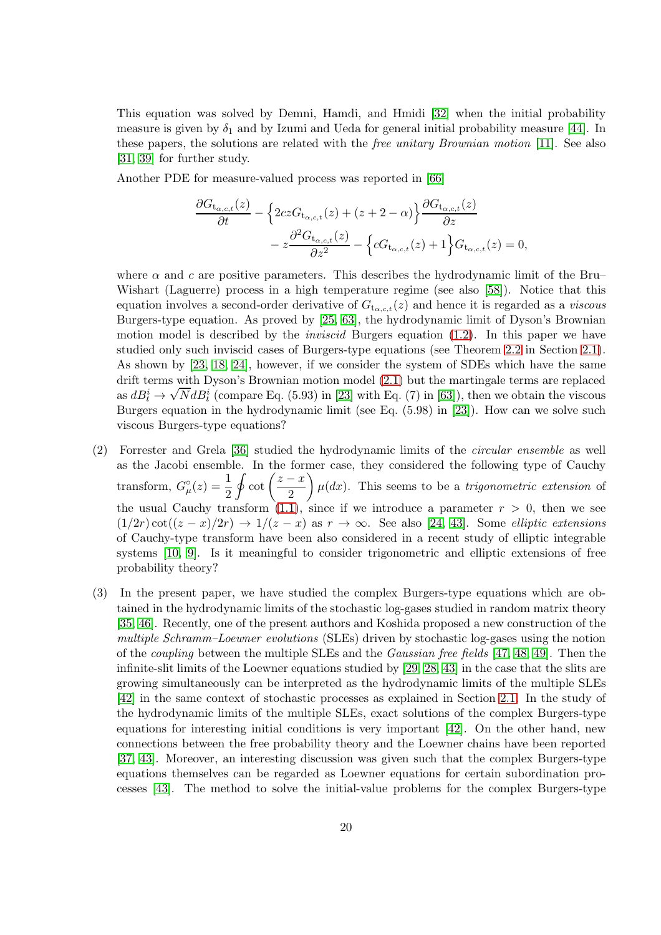This equation was solved by Demni, Hamdi, and Hmidi [\[32\]](#page-22-9) when the initial probability measure is given by  $\delta_1$  and by Izumi and Ueda for general initial probability measure [\[44\]](#page-22-10). In these papers, the solutions are related with the *free unitary Brownian motion* [\[11\]](#page-20-3). See also [\[31,](#page-21-13) [39\]](#page-22-11) for further study.

Another PDE for measure-valued process was reported in [\[66\]](#page-23-16)

$$
\frac{\partial G_{\mathfrak{t}_{\alpha,c,t}}(z)}{\partial t} - \left\{ 2cz G_{\mathfrak{t}_{\alpha,c,t}}(z) + (z + 2 - \alpha) \right\} \frac{\partial G_{\mathfrak{t}_{\alpha,c,t}}(z)}{\partial z} - z \frac{\partial^2 G_{\mathfrak{t}_{\alpha,c,t}}(z)}{\partial z^2} - \left\{ c G_{\mathfrak{t}_{\alpha,c,t}}(z) + 1 \right\} G_{\mathfrak{t}_{\alpha,c,t}}(z) = 0,
$$

where  $\alpha$  and c are positive parameters. This describes the hydrodynamic limit of the Bru– Wishart (Laguerre) process in a high temperature regime (see also [\[58\]](#page-23-17)). Notice that this equation involves a second-order derivative of  $G_{t_{\alpha,c,t}}(z)$  and hence it is regarded as a *viscous* Burgers-type equation. As proved by [\[25,](#page-21-11) [63\]](#page-23-5), the hydrodynamic limit of Dyson's Brownian motion model is described by the *inviscid* Burgers equation [\(1.2\)](#page-1-0). In this paper we have studied only such inviscid cases of Burgers-type equations (see Theorem [2.2](#page-12-0) in Section [2.1\)](#page-9-0). As shown by [\[23,](#page-21-14) [18,](#page-21-15) [24\]](#page-21-16), however, if we consider the system of SDEs which have the same drift terms with Dyson's Brownian motion model [\(2.1\)](#page-10-0) but the martingale terms are replaced as  $dB_t^i \rightarrow$  $\sqrt{N}dB_i^i$  (compare Eq. (5.93) in [\[23\]](#page-21-14) with Eq. (7) in [\[63\]](#page-23-5)), then we obtain the viscous Burgers equation in the hydrodynamic limit (see Eq. (5.98) in [\[23\]](#page-21-14)). How can we solve such viscous Burgers-type equations?

- (2) Forrester and Grela [\[36\]](#page-22-4) studied the hydrodynamic limits of the *circular ensemble* as well as the Jacobi ensemble. In the former case, they considered the following type of Cauchy transform,  $G_{\mu}^{\circ}(z) = \frac{1}{2}$  $\oint \cot \left( \frac{z-x}{2} \right)$ 2  $\overline{ }$  $\mu(dx)$ . This seems to be a *trigonometric extension* of the usual Cauchy transform [\(1.1\)](#page-1-7), since if we introduce a parameter  $r > 0$ , then we see  $(1/2r)\cot((z-x)/2r) \rightarrow 1/(z-x)$  as  $r \rightarrow \infty$ . See also [\[24,](#page-21-16) [43\]](#page-22-12). Some *elliptic extensions* of Cauchy-type transform have been also considered in a recent study of elliptic integrable systems [\[10,](#page-20-10) [9\]](#page-20-11). Is it meaningful to consider trigonometric and elliptic extensions of free probability theory?
- (3) In the present paper, we have studied the complex Burgers-type equations which are obtained in the hydrodynamic limits of the stochastic log-gases studied in random matrix theory [\[35,](#page-22-0) [46\]](#page-22-2). Recently, one of the present authors and Koshida proposed a new construction of the *multiple Schramm–Loewner evolutions* (SLEs) driven by stochastic log-gases using the notion of the *coupling* between the multiple SLEs and the *Gaussian free fields* [\[47,](#page-22-13) [48,](#page-22-14) [49\]](#page-22-15). Then the infinite-slit limits of the Loewner equations studied by [\[29,](#page-21-17) [28,](#page-21-18) [43\]](#page-22-12) in the case that the slits are growing simultaneously can be interpreted as the hydrodynamic limits of the multiple SLEs [\[42\]](#page-22-16) in the same context of stochastic processes as explained in Section [2.1.](#page-9-0) In the study of the hydrodynamic limits of the multiple SLEs, exact solutions of the complex Burgers-type equations for interesting initial conditions is very important [\[42\]](#page-22-16). On the other hand, new connections between the free probability theory and the Loewner chains have been reported [\[37,](#page-22-17) [43\]](#page-22-12). Moreover, an interesting discussion was given such that the complex Burgers-type equations themselves can be regarded as Loewner equations for certain subordination processes [\[43\]](#page-22-12). The method to solve the initial-value problems for the complex Burgers-type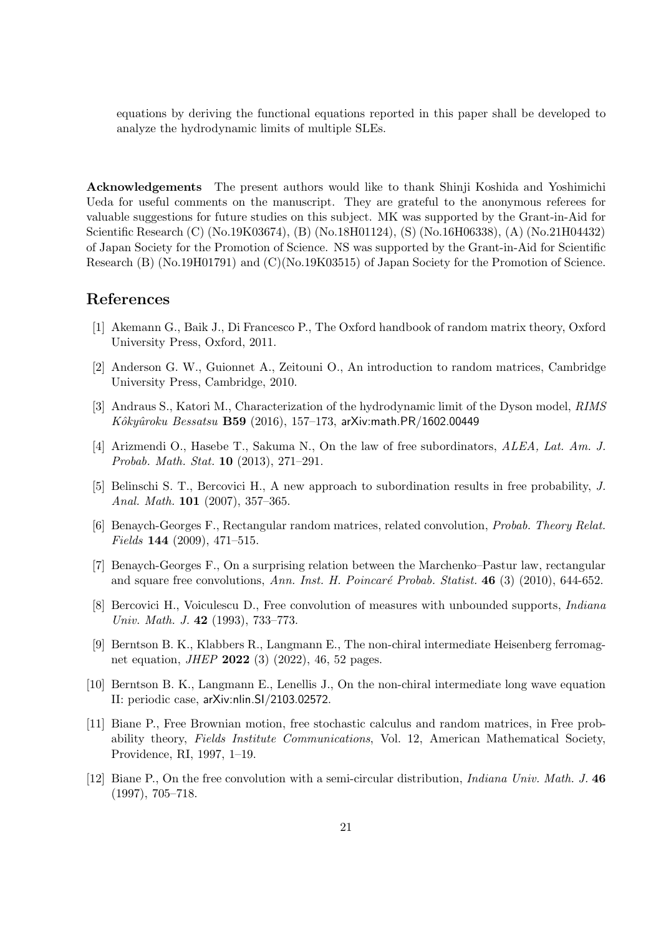equations by deriving the functional equations reported in this paper shall be developed to analyze the hydrodynamic limits of multiple SLEs.

Acknowledgements The present authors would like to thank Shinji Koshida and Yoshimichi Ueda for useful comments on the manuscript. They are grateful to the anonymous referees for valuable suggestions for future studies on this subject. MK was supported by the Grant-in-Aid for Scientific Research (C) (No.19K03674), (B) (No.18H01124), (S) (No.16H06338), (A) (No.21H04432) of Japan Society for the Promotion of Science. NS was supported by the Grant-in-Aid for Scientific Research (B) (No.19H01791) and (C)(No.19K03515) of Japan Society for the Promotion of Science.

# <span id="page-20-1"></span>References

- <span id="page-20-0"></span>[1] Akemann G., Baik J., Di Francesco P., The Oxford handbook of random matrix theory, Oxford University Press, Oxford, 2011.
- <span id="page-20-5"></span>[2] Anderson G. W., Guionnet A., Zeitouni O., An introduction to random matrices, Cambridge University Press, Cambridge, 2010.
- [3] Andraus S., Katori M., Characterization of the hydrodynamic limit of the Dyson model, *RIMS Kˆokyˆuroku Bessatsu* B59 (2016), 157–173, arXiv:math.PR/1602.00449
- <span id="page-20-6"></span>[4] Arizmendi O., Hasebe T., Sakuma N., On the law of free subordinators, *ALEA, Lat. Am. J. Probab. Math. Stat.* 10 (2013), 271–291.
- <span id="page-20-8"></span><span id="page-20-7"></span>[5] Belinschi S. T., Bercovici H., A new approach to subordination results in free probability, *J. Anal. Math.* 101 (2007), 357–365.
- [6] Benaych-Georges F., Rectangular random matrices, related convolution, *Probab. Theory Relat. Fields* 144 (2009), 471–515.
- <span id="page-20-9"></span>[7] Benaych-Georges F., On a surprising relation between the Marchenko–Pastur law, rectangular and square free convolutions, Ann. Inst. H. Poincaré Probab. Statist. **46** (3) (2010), 644-652.
- <span id="page-20-2"></span>[8] Bercovici H., Voiculescu D., Free convolution of measures with unbounded supports, *Indiana Univ. Math. J.* 42 (1993), 733–773.
- <span id="page-20-11"></span>[9] Berntson B. K., Klabbers R., Langmann E., The non-chiral intermediate Heisenberg ferromagnet equation, *JHEP* 2022 (3) (2022), 46, 52 pages.
- <span id="page-20-10"></span>[10] Berntson B. K., Langmann E., Lenellis J., On the non-chiral intermediate long wave equation II: periodic case, arXiv:nlin.SI/2103.02572.
- <span id="page-20-3"></span>[11] Biane P., Free Brownian motion, free stochastic calculus and random matrices, in Free probability theory, *Fields Institute Communications*, Vol. 12, American Mathematical Society, Providence, RI, 1997, 1–19.
- <span id="page-20-4"></span>[12] Biane P., On the free convolution with a semi-circular distribution, *Indiana Univ. Math. J.* 46 (1997), 705–718.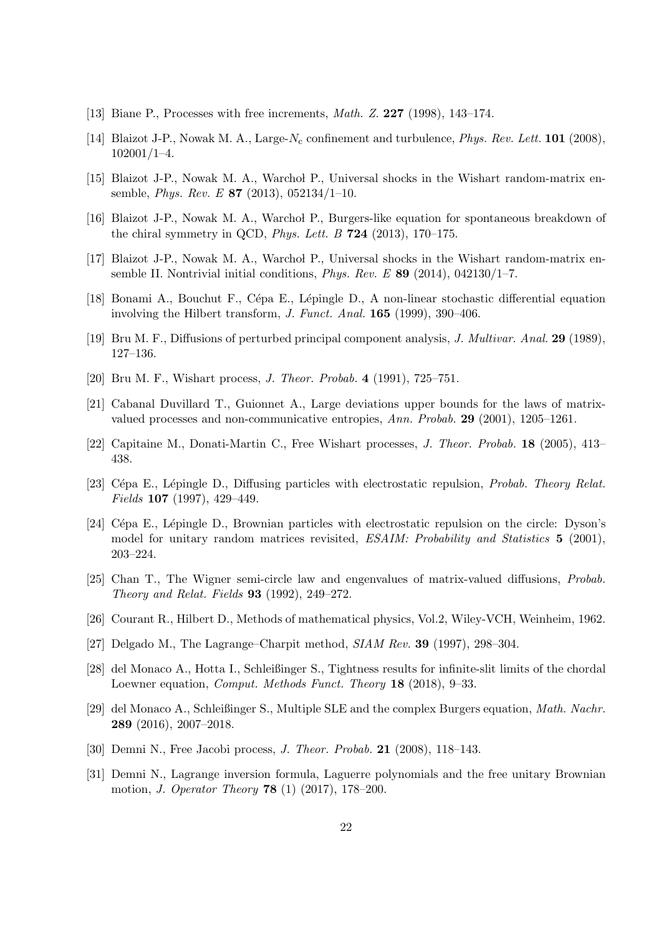- <span id="page-21-7"></span><span id="page-21-2"></span>[13] Biane P., Processes with free increments, *Math. Z.* 227 (1998), 143–174.
- <span id="page-21-3"></span>[14] Blaizot J-P., Nowak M. A., Large-N<sub>c</sub> confinement and turbulence, *Phys. Rev. Lett.* **101** (2008), 102001/1–4.
- <span id="page-21-6"></span>[15] Blaizot J-P., Nowak M. A., Warchol P., Universal shocks in the Wishart random-matrix ensemble, *Phys. Rev. E* 87 (2013), 052134/1–10.
- <span id="page-21-4"></span>[16] Blaizot J-P., Nowak M. A., Warchol P., Burgers-like equation for spontaneous breakdown of the chiral symmetry in QCD, *Phys. Lett. B* 724 (2013), 170–175.
- <span id="page-21-15"></span>[17] Blaizot J-P., Nowak M. A., Warchol P., Universal shocks in the Wishart random-matrix ensemble II. Nontrivial initial conditions, *Phys. Rev. E* 89 (2014), 042130/1–7.
- <span id="page-21-0"></span>[18] Bonami A., Bouchut F., Cépa E., Lépingle D., A non-linear stochastic differential equation involving the Hilbert transform, *J. Funct. Anal.* 165 (1999), 390–406.
- <span id="page-21-1"></span>[19] Bru M. F., Diffusions of perturbed principal component analysis, *J. Multivar. Anal.* 29 (1989), 127–136.
- <span id="page-21-5"></span>[20] Bru M. F., Wishart process, *J. Theor. Probab.* 4 (1991), 725–751.
- <span id="page-21-8"></span>[21] Cabanal Duvillard T., Guionnet A., Large deviations upper bounds for the laws of matrixvalued processes and non-communicative entropies, *Ann. Probab.* 29 (2001), 1205–1261.
- <span id="page-21-14"></span>[22] Capitaine M., Donati-Martin C., Free Wishart processes, *J. Theor. Probab.* 18 (2005), 413– 438.
- <span id="page-21-16"></span>[23] C´epa E., L´epingle D., Diffusing particles with electrostatic repulsion, *Probab. Theory Relat. Fields* 107 (1997), 429–449.
- [24] Cépa E., Lépingle D., Brownian particles with electrostatic repulsion on the circle: Dyson's model for unitary random matrices revisited, *ESAIM: Probability and Statistics* 5 (2001), 203–224.
- <span id="page-21-11"></span>[25] Chan T., The Wigner semi-circle law and engenvalues of matrix-valued diffusions, *Probab. Theory and Relat. Fields* 93 (1992), 249–272.
- <span id="page-21-10"></span><span id="page-21-9"></span>[26] Courant R., Hilbert D., Methods of mathematical physics, Vol.2, Wiley-VCH, Weinheim, 1962.
- <span id="page-21-18"></span>[27] Delgado M., The Lagrange–Charpit method, *SIAM Rev.* 39 (1997), 298–304.
- [28] del Monaco A., Hotta I., Schleißinger S., Tightness results for infinite-slit limits of the chordal Loewner equation, *Comput. Methods Funct. Theory* 18 (2018), 9–33.
- <span id="page-21-17"></span>[29] del Monaco A., Schleißinger S., Multiple SLE and the complex Burgers equation, *Math. Nachr.* 289 (2016), 2007–2018.
- <span id="page-21-13"></span><span id="page-21-12"></span>[30] Demni N., Free Jacobi process, *J. Theor. Probab.* 21 (2008), 118–143.
- [31] Demni N., Lagrange inversion formula, Laguerre polynomials and the free unitary Brownian motion, *J. Operator Theory* 78 (1) (2017), 178–200.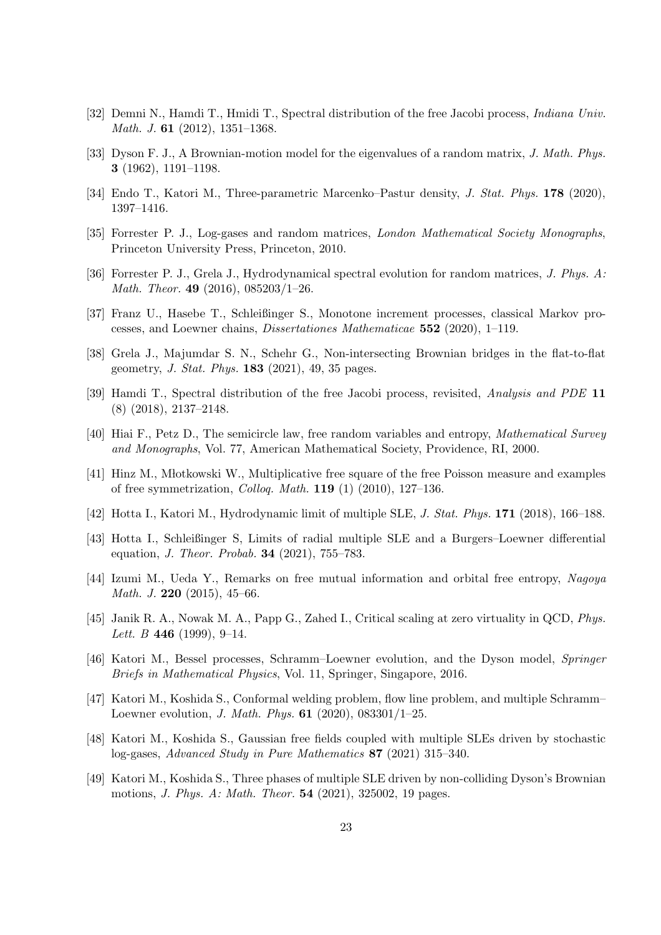- <span id="page-22-9"></span><span id="page-22-1"></span>[32] Demni N., Hamdi T., Hmidi T., Spectral distribution of the free Jacobi process, *Indiana Univ. Math. J.* 61 (2012), 1351–1368.
- <span id="page-22-5"></span>[33] Dyson F. J., A Brownian-motion model for the eigenvalues of a random matrix, *J. Math. Phys.* 3 (1962), 1191–1198.
- <span id="page-22-0"></span>[34] Endo T., Katori M., Three-parametric Marcenko–Pastur density, *J. Stat. Phys.* 178 (2020), 1397–1416.
- <span id="page-22-4"></span>[35] Forrester P. J., Log-gases and random matrices, *London Mathematical Society Monographs*, Princeton University Press, Princeton, 2010.
- <span id="page-22-17"></span>[36] Forrester P. J., Grela J., Hydrodynamical spectral evolution for random matrices, *J. Phys. A: Math. Theor.* 49 (2016), 085203/1–26.
- <span id="page-22-6"></span>[37] Franz U., Hasebe T., Schleißinger S., Monotone increment processes, classical Markov processes, and Loewner chains, *Dissertationes Mathematicae* 552 (2020), 1–119.
- <span id="page-22-11"></span>[38] Grela J., Majumdar S. N., Schehr G., Non-intersecting Brownian bridges in the flat-to-flat geometry, *J. Stat. Phys.* 183 (2021), 49, 35 pages.
- <span id="page-22-7"></span>[39] Hamdi T., Spectral distribution of the free Jacobi process, revisited, *Analysis and PDE* 11 (8) (2018), 2137–2148.
- <span id="page-22-8"></span>[40] Hiai F., Petz D., The semicircle law, free random variables and entropy, *Mathematical Survey and Monographs*, Vol. 77, American Mathematical Society, Providence, RI, 2000.
- <span id="page-22-16"></span>[41] Hinz M., Młotkowski W., Multiplicative free square of the free Poisson measure and examples of free symmetrization, *Colloq. Math.* 119 (1) (2010), 127–136.
- <span id="page-22-12"></span>[42] Hotta I., Katori M., Hydrodynamic limit of multiple SLE, *J. Stat. Phys.* 171 (2018), 166–188.
- [43] Hotta I., Schleißinger S, Limits of radial multiple SLE and a Burgers–Loewner differential equation, *J. Theor. Probab.* 34 (2021), 755–783.
- <span id="page-22-10"></span>[44] Izumi M., Ueda Y., Remarks on free mutual information and orbital free entropy, *Nagoya Math. J.* 220 (2015), 45–66.
- <span id="page-22-3"></span>[45] Janik R. A., Nowak M. A., Papp G., Zahed I., Critical scaling at zero virtuality in QCD, *Phys. Lett. B* 446 (1999), 9–14.
- <span id="page-22-13"></span><span id="page-22-2"></span>[46] Katori M., Bessel processes, Schramm–Loewner evolution, and the Dyson model, *Springer Briefs in Mathematical Physics*, Vol. 11, Springer, Singapore, 2016.
- [47] Katori M., Koshida S., Conformal welding problem, flow line problem, and multiple Schramm– Loewner evolution, *J. Math. Phys.* 61 (2020), 083301/1–25.
- <span id="page-22-14"></span>[48] Katori M., Koshida S., Gaussian free fields coupled with multiple SLEs driven by stochastic log-gases, *Advanced Study in Pure Mathematics* 87 (2021) 315–340.
- <span id="page-22-15"></span>[49] Katori M., Koshida S., Three phases of multiple SLE driven by non-colliding Dyson's Brownian motions, *J. Phys. A: Math. Theor.* 54 (2021), 325002, 19 pages.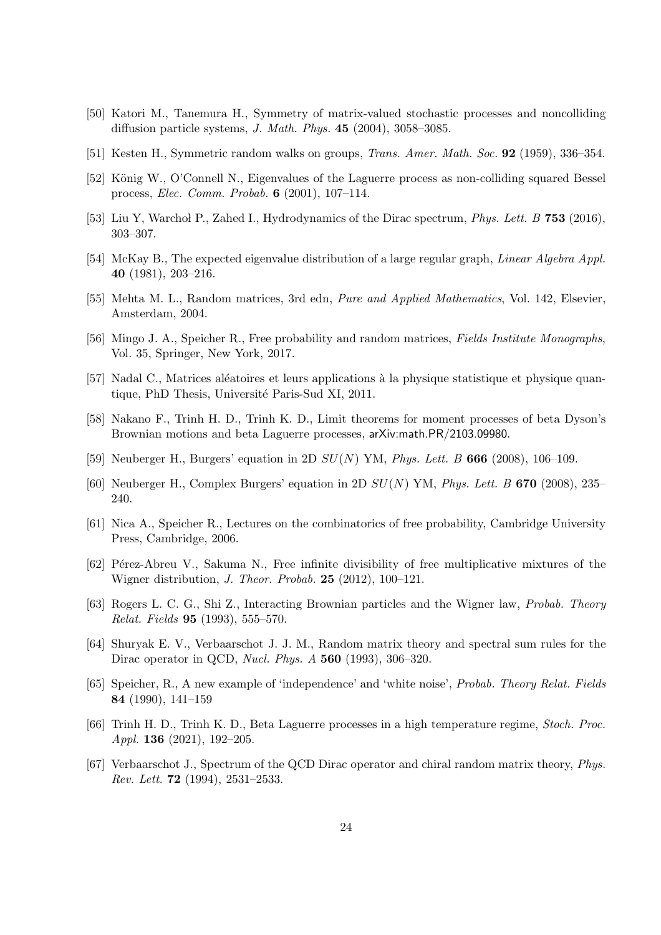- <span id="page-23-14"></span><span id="page-23-2"></span>[50] Katori M., Tanemura H., Symmetry of matrix-valued stochastic processes and noncolliding diffusion particle systems, *J. Math. Phys.* 45 (2004), 3058–3085.
- <span id="page-23-1"></span>[51] Kesten H., Symmetric random walks on groups, *Trans. Amer. Math. Soc.* 92 (1959), 336–354.
- <span id="page-23-11"></span>[52] König W., O'Connell N., Eigenvalues of the Laguerre process as non-colliding squared Bessel process, *Elec. Comm. Probab.* 6 (2001), 107–114.
- <span id="page-23-15"></span>[53] Liu Y, Warchol P., Zahed I., Hydrodynamics of the Dirac spectrum, *Phys. Lett. B* 753 (2016), 303–307.
- <span id="page-23-0"></span>[54] McKay B., The expected eigenvalue distribution of a large regular graph, *Linear Algebra Appl.* 40 (1981), 203–216.
- <span id="page-23-4"></span>[55] Mehta M. L., Random matrices, 3rd edn, *Pure and Applied Mathematics*, Vol. 142, Elsevier, Amsterdam, 2004.
- <span id="page-23-12"></span>[56] Mingo J. A., Speicher R., Free probability and random matrices, *Fields Institute Monographs*, Vol. 35, Springer, New York, 2017.
- <span id="page-23-17"></span>[57] Nadal C., Matrices aléatoires et leurs applications à la physique statistique et physique quantique, PhD Thesis, Université Paris-Sud XI, 2011.
- [58] Nakano F., Trinh H. D., Trinh K. D., Limit theorems for moment processes of beta Dyson's Brownian motions and beta Laguerre processes, arXiv:math.PR/2103.09980.
- <span id="page-23-7"></span><span id="page-23-6"></span>[59] Neuberger H., Burgers' equation in 2D SU(N) YM, *Phys. Lett. B* 666 (2008), 106–109.
- <span id="page-23-3"></span>[60] Neuberger H., Complex Burgers' equation in 2D SU(N) YM, *Phys. Lett. B* 670 (2008), 235– 240.
- <span id="page-23-8"></span>[61] Nica A., Speicher R., Lectures on the combinatorics of free probability, Cambridge University Press, Cambridge, 2006.
- [62] Pérez-Abreu V., Sakuma N., Free infinite divisibility of free multiplicative mixtures of the Wigner distribution, *J. Theor. Probab.* 25 (2012), 100–121.
- <span id="page-23-5"></span>[63] Rogers L. C. G., Shi Z., Interacting Brownian particles and the Wigner law, *Probab. Theory Relat. Fields* 95 (1993), 555–570.
- <span id="page-23-9"></span>[64] Shuryak E. V., Verbaarschot J. J. M., Random matrix theory and spectral sum rules for the Dirac operator in QCD, *Nucl. Phys. A* 560 (1993), 306–320.
- <span id="page-23-13"></span>[65] Speicher, R., A new example of 'independence' and 'white noise', *Probab. Theory Relat. Fields* 84 (1990), 141–159
- <span id="page-23-16"></span>[66] Trinh H. D., Trinh K. D., Beta Laguerre processes in a high temperature regime, *Stoch. Proc. Appl.* 136 (2021), 192–205.
- <span id="page-23-10"></span>[67] Verbaarschot J., Spectrum of the QCD Dirac operator and chiral random matrix theory, *Phys. Rev. Lett.* 72 (1994), 2531–2533.